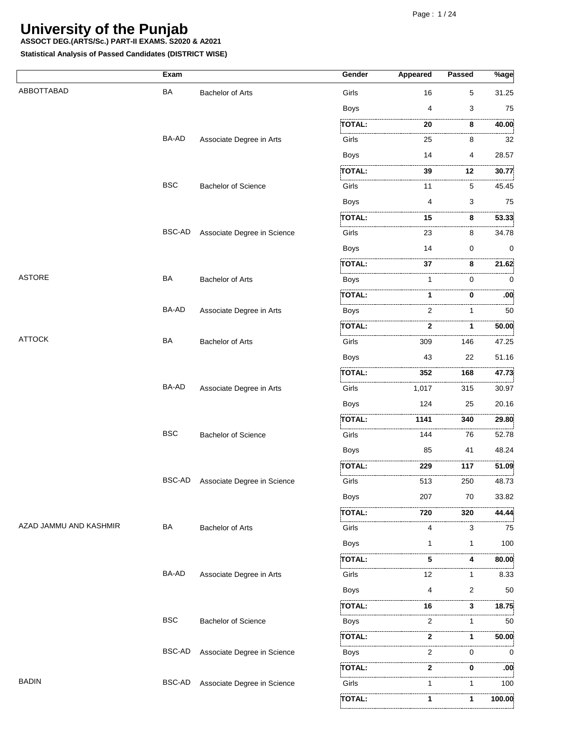**ASSOCT DEG.(ARTS/Sc.) PART-II EXAMS. S2020 & A2021**

|                        | Exam       |                             | Gender        | Appeared   | Passed      | $%$ age               |
|------------------------|------------|-----------------------------|---------------|------------|-------------|-----------------------|
| ABBOTTABAD             | BA         | <b>Bachelor of Arts</b>     | Girls         | 16         | 5           | 31.25                 |
|                        |            |                             | <b>Boys</b>   | 4          | 3           | 75                    |
|                        |            |                             | TOTAL:        | 20         | <br>8       | .<br>40.00            |
|                        | BA-AD      | Associate Degree in Arts    | Girls         | 25         | 8           | . 3<br>32             |
|                        |            |                             | <b>Boys</b>   | 14         | 4           | 28.57                 |
|                        |            |                             | <b>TOTAL:</b> | 39         | 12          | 30.77                 |
|                        | <b>BSC</b> | <b>Bachelor of Science</b>  | .<br>Girls    | .<br>11    | 5           | 45.45                 |
|                        |            |                             | <b>Boys</b>   | 4          | 3           | 75                    |
|                        |            |                             | <b>TOTAL:</b> | 15         | 8           | .<br>53.33            |
|                        | BSC-AD     | Associate Degree in Science | Girls         | 23         | 8           | 34.78                 |
|                        |            |                             | <b>Boys</b>   | 14         | 0           | 0                     |
|                        |            |                             | <b>TOTAL:</b> | .<br>37    | 8           | 21.62                 |
| <b>ASTORE</b>          | <b>BA</b>  | <b>Bachelor of Arts</b>     | <b>Boys</b>   | 1          | 0           | 0                     |
|                        |            |                             | TOTAL:        | 1          | 0           | .<br>.00 <sub>1</sub> |
|                        | BA-AD      | Associate Degree in Arts    | <b>Boys</b>   | 2          | 1           | 50                    |
|                        |            |                             | TOTAL:        | 2          | 1           | 50.00                 |
| <b>ATTOCK</b>          | BA         | <b>Bachelor of Arts</b>     | Girls         | .<br>309   | 146         | 47.25                 |
|                        |            |                             | <b>Boys</b>   | 43         | 22          | 51.16                 |
|                        |            |                             | .<br>TOTAL:   | .<br>352   | .<br>168    | .<br>47.73            |
|                        | BA-AD      | Associate Degree in Arts    | Girls         | .<br>1,017 | 315         | 30.97                 |
|                        |            |                             | <b>Boys</b>   | 124        | 25          | 20.16                 |
|                        |            |                             | <b>TOTAL:</b> | 1141       | 340         | 29.80                 |
|                        | <b>BSC</b> | <b>Bachelor of Science</b>  | Girls         | 144        | 76          | 52.78                 |
|                        |            |                             | <b>Boys</b>   | 85         | 41          | 48.24                 |
|                        |            |                             | TOTAL:        | 229        | 117         | 51.09                 |
|                        | BSC-AD     | Associate Degree in Science | Girls         | 513        | 250         | 48.73                 |
|                        |            |                             | <b>Boys</b>   | 207        | 70          | 33.82                 |
|                        |            |                             | <b>TOTAL:</b> | 720        | 320         | 44.44                 |
| AZAD JAMMU AND KASHMIR | <b>BA</b>  | <b>Bachelor of Arts</b>     | Girls         | 4          | 3           | 75                    |
|                        |            |                             | <b>Boys</b>   | 1          | $\mathbf 1$ | 100                   |
|                        |            |                             | TOTAL:        | 5          | 4           | 80.00                 |
|                        | BA-AD      | Associate Degree in Arts    | Girls         | .<br>12    | 1           | 8.33                  |
|                        |            |                             | <b>Boys</b>   | 4          | 2           | 50                    |
|                        |            |                             | TOTAL:        | 16         | 3           | 18.75                 |
|                        | <b>BSC</b> | <b>Bachelor of Science</b>  | Boys          | 2          | 1           | .<br>50               |
|                        |            |                             | TOTAL:        | .<br>2     | 1           | 50.00                 |
|                        | BSC-AD     | Associate Degree in Science | Boys          | 2          | 0           | . 3<br>$\Omega$       |
|                        |            |                             | TOTAL:        | 2          | 0           | :00                   |
| <b>BADIN</b>           | BSC-AD     | Associate Degree in Science | Girls         | 1          | 1           | 100                   |
|                        |            |                             | TOTAL:        | 1          | 1           | 100.00                |
|                        |            |                             |               |            |             |                       |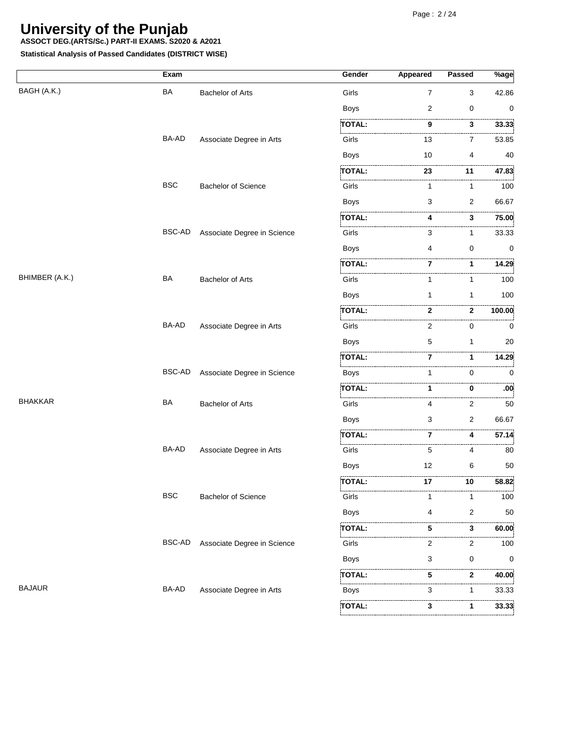**ASSOCT DEG.(ARTS/Sc.) PART-II EXAMS. S2020 & A2021**

|                | Exam          |                             | Gender                              | <b>Appeared</b> | Passed      | $\sqrt[9]{\text{age}}$ |
|----------------|---------------|-----------------------------|-------------------------------------|-----------------|-------------|------------------------|
| BAGH (A.K.)    | BA            | <b>Bachelor of Arts</b>     | Girls                               | 7               | 3           | 42.86                  |
|                |               |                             | <b>Boys</b>                         | 2               | 0           | 0                      |
|                |               |                             | <b>TOTAL:</b>                       | 9               | 3           | 33.33                  |
|                | BA-AD         | Associate Degree in Arts    | Girls                               | 13              | .<br>7      | .<br>53.85             |
|                |               |                             | <b>Boys</b>                         | 10              | 4           | 40                     |
|                |               |                             | <b>TOTAL:</b>                       | 23              | <br>11      | 47.83                  |
|                | <b>BSC</b>    | <b>Bachelor of Science</b>  | Girls                               | 1               | 1           | . 3<br>100             |
|                |               |                             | <b>Boys</b>                         | 3               | 2           | 66.67                  |
|                |               |                             | TOTAL:                              | 4               | 3           | 75.00                  |
|                | BSC-AD        | Associate Degree in Science | Girls                               | 3               | 1           | 33.33                  |
|                |               |                             | <b>Boys</b>                         | 4               | $\mathbf 0$ | 0                      |
|                |               |                             | TOTAL:                              | 7               | 1           | 14.29                  |
| BHIMBER (A.K.) | BA            | <b>Bachelor of Arts</b>     | Girls                               | 1               | 1           | 100                    |
|                |               |                             | <b>Boys</b>                         | 1               | 1           | 100                    |
|                |               |                             | TOTAL:                              | $\mathbf{2}$    | 2           | 100.00                 |
|                | BA-AD         | Associate Degree in Arts    | Girls                               | 2               | .<br>0      | 0                      |
|                |               |                             | <b>Boys</b>                         | 5               | 1           | 20                     |
|                |               |                             | TOTAL:                              | 7               | 1           | 14.29                  |
|                | BSC-AD        | Associate Degree in Science | Boys                                | 1               | $\Omega$    | 0                      |
|                |               |                             | .<br>TOTAL:                         | 1               | 0           | $.00^{\circ}$          |
| <b>BHAKKAR</b> | <b>BA</b>     | <b>Bachelor of Arts</b>     | Girls                               | 4               | 2           | .<br>.<br>50           |
|                |               |                             | <b>Boys</b>                         | 3               | 2           | 66.67                  |
|                |               |                             | <b>TOTAL:</b>                       | 7               | 4           | 57.14                  |
|                | BA-AD         | Associate Degree in Arts    | Girls                               | 5               | 4           | 80                     |
|                |               |                             | <b>Boys</b>                         | 12              | 6           | 50                     |
|                |               |                             | TOTAL:                              | 17              | 10          | 58.82                  |
|                | <b>BSC</b>    | <b>Bachelor of Science</b>  | ;.<br>Girls                         | 1               | 1           | 100                    |
|                |               |                             | <b>Boys</b>                         | 4               | 2           | 50                     |
|                |               |                             | <b>TOTAL:</b>                       | 5               | 3           | 60.00                  |
|                | <b>BSC-AD</b> | Associate Degree in Science | .<br>Girls                          | 2               | 2           | .<br>100               |
|                |               |                             | <b>Boys</b>                         | 3               | 0           | 0                      |
|                |               |                             | , , , , , , , , , , , , ,<br>TOTAL: | 5               | .<br>2      | 40.00                  |
| <b>BAJAUR</b>  | BA-AD         | Associate Degree in Arts    | Boys                                | 3               | 1           | 33.33                  |
|                |               |                             | TOTAL:                              | 3               | 1           | 33.33                  |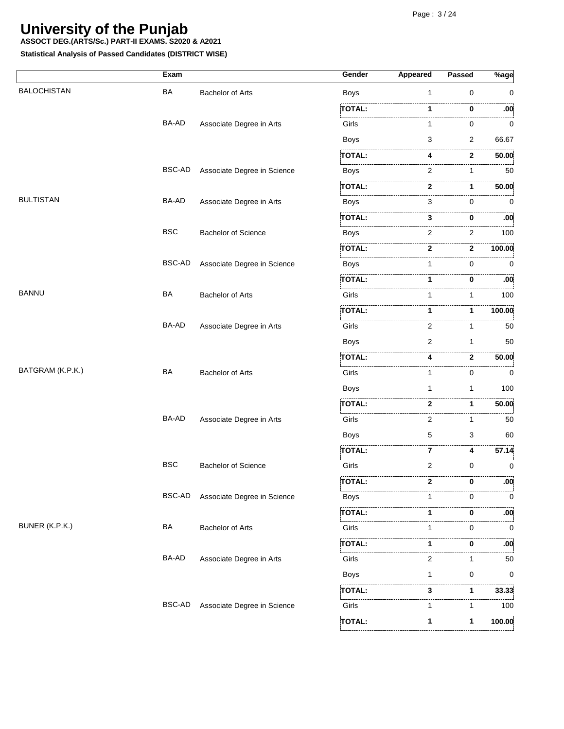**ASSOCT DEG.(ARTS/Sc.) PART-II EXAMS. S2020 & A2021**

|                    | Exam         |                             | Gender        | <b>Appeared</b> | <b>Passed</b>     | $\sqrt[9]{8}$ age |
|--------------------|--------------|-----------------------------|---------------|-----------------|-------------------|-------------------|
| <b>BALOCHISTAN</b> | BA           | <b>Bachelor of Arts</b>     | <b>Boys</b>   | $\mathbf{1}$    | $\mathbf 0$       | 0                 |
|                    |              |                             | <b>TOTAL:</b> | 1               | 0                 | :00               |
|                    | BA-AD        | Associate Degree in Arts    | Girls         | 1               | 0                 | .<br>0            |
|                    |              |                             | <b>Boys</b>   | 3               | 2                 | 66.67             |
|                    |              |                             | <b>TOTAL:</b> | 4               | .<br>$\mathbf{2}$ | 50.00             |
|                    | BSC-AD       | Associate Degree in Science | <b>Boys</b>   | 2               | 1                 | .<br>50           |
|                    |              |                             | <b>TOTAL:</b> | 2               | 1                 | 50.00             |
| <b>BULTISTAN</b>   | BA-AD        | Associate Degree in Arts    | Boys          | 3               | $\mathbf 0$       | 0                 |
|                    |              |                             | TOTAL:        | 3               | 0                 | :00               |
|                    | <b>BSC</b>   | <b>Bachelor of Science</b>  | <b>Boys</b>   | 2               | 2                 | . 3<br>100        |
|                    |              |                             | TOTAL:        | 2               | 2                 | 100.00            |
|                    | BSC-AD       | Associate Degree in Science | Boys          | 1               | $\Omega$          | $\Omega$          |
|                    |              |                             | <b>TOTAL:</b> | 1               | 0                 | :00               |
| <b>BANNU</b>       | BA           | <b>Bachelor of Arts</b>     | Girls         | 1               | 1                 | 100               |
|                    |              |                             | <b>TOTAL:</b> | 1               | 1                 | 100.00            |
|                    | BA-AD        | Associate Degree in Arts    | .<br>Girls    | 2               | 1                 | 50                |
|                    |              |                             | <b>Boys</b>   | 2               | 1                 | 50                |
|                    |              |                             | <b>TOTAL:</b> | 4               | $\mathbf{2}$      | 50.00             |
| BATGRAM (K.P.K.)   | BA           | <b>Bachelor of Arts</b>     | Girls         | 1               | 0                 | 0                 |
|                    |              |                             | <b>Boys</b>   | 1               | 1                 | 100               |
|                    |              |                             | TOTAL:        | 2               | 1                 | 50.00             |
|                    | <b>BA-AD</b> | Associate Degree in Arts    | Girls         | 2               | 1                 | 50                |
|                    |              |                             | <b>Boys</b>   | 5               | 3                 | 60                |
|                    |              |                             | TOTAL:        | 7               | 4                 | 57.14             |
|                    | <b>BSC</b>   | <b>Bachelor of Science</b>  | Girls         | .<br>2          | $\mathbf 0$       | .<br>0            |
|                    |              |                             | <b>TOTAL:</b> | 2               | 0                 | .00.              |
|                    | BSC-AD       | Associate Degree in Science | <b>Boys</b>   | 1               | 0                 | .<br>0            |
|                    |              |                             | <b>TOTAL:</b> | 1               | 0                 | $.00^{\circ}$     |
| BUNER (K.P.K.)     | BA           | <b>Bachelor of Arts</b>     | Girls         | 1               | 0                 | . 5<br>0          |
|                    |              |                             | TOTAL:        | 1               | 0                 | :00               |
|                    | BA-AD        | Associate Degree in Arts    | Girls         | 2               | 1                 | 50                |
|                    |              |                             | <b>Boys</b>   | 1               | 0                 | 0                 |
|                    |              |                             | TOTAL:        | <br>3           | 1                 | 33.33             |
|                    | BSC-AD       | Associate Degree in Science | .<br>Girls    | 1               | 1                 | .<br>100          |
|                    |              |                             | TOTAL:        | 1.              | 1                 | 100.00            |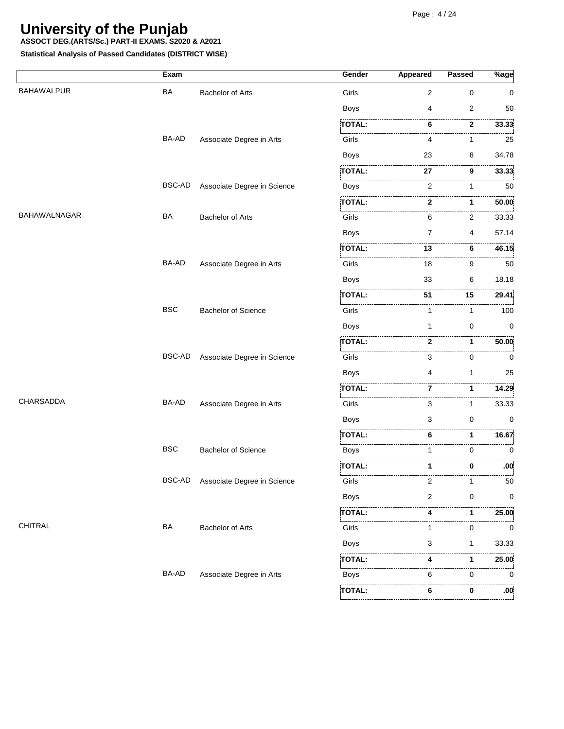**ASSOCT DEG.(ARTS/Sc.) PART-II EXAMS. S2020 & A2021**

|                   | Exam       |                             | Gender        | Appeared       | <b>Passed</b>  | $\sqrt[6]{8}$ age |
|-------------------|------------|-----------------------------|---------------|----------------|----------------|-------------------|
| <b>BAHAWALPUR</b> | BA         | <b>Bachelor of Arts</b>     | Girls         | 2              | $\mathbf 0$    | 0                 |
|                   |            |                             | <b>Boys</b>   | 4              | $\overline{2}$ | 50                |
|                   |            |                             | <b>TOTAL:</b> | 6              | 2              | 33.33             |
|                   | BA-AD      | Associate Degree in Arts    | Girls         | 4              | 1              | 25                |
|                   |            |                             | Boys          | 23             | 8              | 34.78             |
|                   |            |                             | TOTAL:        | 27             | 9              | 33.33             |
|                   | BSC-AD     | Associate Degree in Science | <b>Boys</b>   | 2              | 1              | 50                |
|                   |            |                             | TOTAL:        | 2              | 1              | 50.00             |
| BAHAWALNAGAR      | BA         | <b>Bachelor of Arts</b>     | Girls         | 6              | 2              | 33.33             |
|                   |            |                             | <b>Boys</b>   | 7              | 4              | 57.14             |
|                   |            |                             | TOTAL:        | 13             | <br>6          | 46.15             |
|                   | BA-AD      | Associate Degree in Arts    | Girls         | 18             | 9              | 50                |
|                   |            |                             | <b>Boys</b>   | 33             | 6              | 18.18             |
|                   |            |                             | <b>TOTAL:</b> | 51             | 15             | 29.41             |
|                   | <b>BSC</b> | <b>Bachelor of Science</b>  | Girls         | 1              | 1              | 100               |
|                   |            |                             | <b>Boys</b>   | 1              | 0              | 0                 |
|                   |            |                             | <b>TOTAL:</b> | $\mathbf{2}$   | 1              | 50.00             |
|                   | BSC-AD     | Associate Degree in Science | Girls         | 3              | 0              | 0                 |
|                   |            |                             | <b>Boys</b>   | 4              | 1              | 25                |
|                   |            |                             | <b>TOTAL:</b> | 7              | 1              | 14.29             |
| CHARSADDA         | BA-AD      | Associate Degree in Arts    | Girls         | 3              | 1              | 33.33             |
|                   |            |                             | <b>Boys</b>   | 3              | $\mathbf 0$    | 0                 |
|                   |            |                             | <b>TOTAL:</b> | 6              | 1              | 16.67             |
|                   | <b>BSC</b> | <b>Bachelor of Science</b>  | Boys          | 1              | 0              | 0                 |
|                   |            |                             | <b>TOTAL:</b> | 1              | 0              | :00               |
|                   | BSC-AD     | Associate Degree in Science | Girls         | 2              |                | 50                |
|                   |            |                             | <b>Boys</b>   | $\overline{2}$ | 0              | 0                 |
|                   |            |                             | TOTAL:        | 4              | 1              | 25.00             |
| CHITRAL           | BA         | <b>Bachelor of Arts</b>     | i<br>Girls    | 1              | 0              | . 1<br>0          |
|                   |            |                             | <b>Boys</b>   | 3              | 1              | 33.33             |
|                   |            |                             | <b>TOTAL:</b> | 4              | 1              | 25.00             |
|                   | BA-AD      | Associate Degree in Arts    | <b>Boys</b>   | 6              | 0              | 0                 |
|                   |            |                             | <b>TOTAL:</b> | 6              | 0              | .00.              |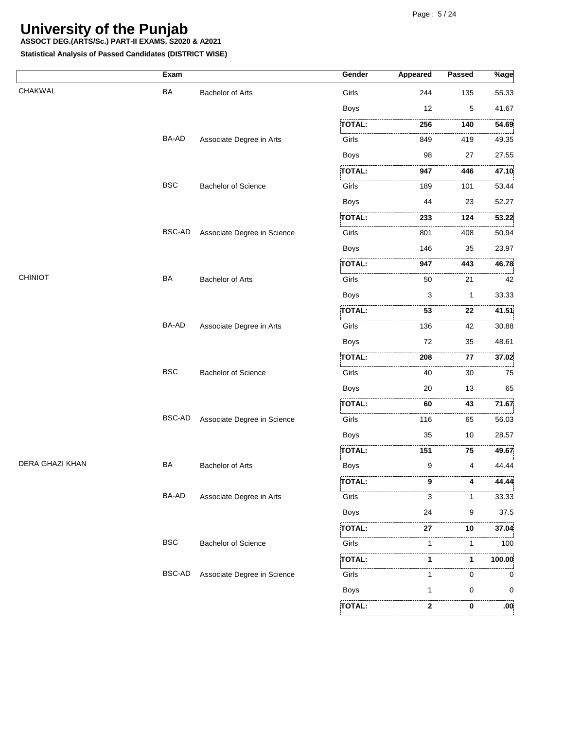**ASSOCT DEG.(ARTS/Sc.) PART-II EXAMS. S2020 & A2021**

|                        | Exam          |                             | Gender        | <b>Appeared</b> | Passed   | $%$ age    |
|------------------------|---------------|-----------------------------|---------------|-----------------|----------|------------|
| CHAKWAL                | <b>BA</b>     | <b>Bachelor of Arts</b>     | Girls         | 244             | 135      | 55.33      |
|                        |               |                             | <b>Boys</b>   | 12              | 5        | 41.67      |
|                        |               |                             | <b>TOTAL:</b> | 256             | .<br>140 | 54.69      |
|                        | BA-AD         | Associate Degree in Arts    | Girls         | 849             | 419      | .<br>49.35 |
|                        |               |                             | Boys          | 98              | 27       | 27.55      |
|                        |               |                             | TOTAL:        | 947             | 446      | 47.10      |
|                        | <b>BSC</b>    | <b>Bachelor of Science</b>  | .<br>Girls    | 189             | 101      | .<br>53.44 |
|                        |               |                             | <b>Boys</b>   | 44              | 23       | 52.27      |
|                        |               |                             | TOTAL:        | 233             | 124      | 53.22      |
|                        | BSC-AD        | Associate Degree in Science | .<br>Girls    | 801             | 408      | .<br>50.94 |
|                        |               |                             | <b>Boys</b>   | 146             | 35       | 23.97      |
|                        |               |                             | TOTAL:        | 947             | 443      | .<br>46.78 |
| <b>CHINIOT</b>         | <b>BA</b>     | <b>Bachelor of Arts</b>     | Girls         | 50              | 21       | .<br>42    |
|                        |               |                             | <b>Boys</b>   | 3               | 1        | 33.33      |
|                        |               |                             | <b>TOTAL:</b> | 1.1.1.1<br>53   | .<br>22  | 41.51      |
|                        | BA-AD         | Associate Degree in Arts    | Girls         | 136             | 42       | 30.88      |
|                        |               |                             | <b>Boys</b>   | 72              | 35       | 48.61      |
|                        |               |                             | TOTAL:        | .<br>208        | .<br>77  | 37.02      |
|                        | <b>BSC</b>    | <b>Bachelor of Science</b>  | .<br>Girls    | 40              | 30       | 75         |
|                        |               |                             | <b>Boys</b>   | 20              | 13       | 65         |
|                        |               |                             | <b>TOTAL:</b> | 60              | 43       | 71.67      |
|                        | <b>BSC-AD</b> | Associate Degree in Science | .<br>Girls    | 116             | 65       | 56.03      |
|                        |               |                             | <b>Boys</b>   | 35              | 10       | 28.57      |
|                        |               |                             | <b>TOTAL:</b> | 151             | 75       | 49.67      |
| <b>DERA GHAZI KHAN</b> | BA            | <b>Bachelor of Arts</b>     | .<br>Boys     | 9               | 4        | 44.44      |
|                        |               |                             | TOTAL:        | 9               |          | 44.44      |
|                        | BA-AD         | Associate Degree in Arts    | Girls         | 3               |          | 33.33      |
|                        |               |                             | Boys          | 24              | 9        | 37.5       |
|                        |               |                             | TOTAL:        | 27              | 10       | 37.04      |
|                        | <b>BSC</b>    | <b>Bachelor of Science</b>  | .<br>Girls    | 1               | -1       | 100        |
|                        |               |                             | TOTAL:        | 1               | 1        | 100.00     |
|                        | <b>BSC-AD</b> | Associate Degree in Science | Girls         | 1               | $\Omega$ | 0          |
|                        |               |                             | Boys          | 1               | 0        | 0          |
|                        |               |                             | TOTAL:        | 2               | 0        | :00        |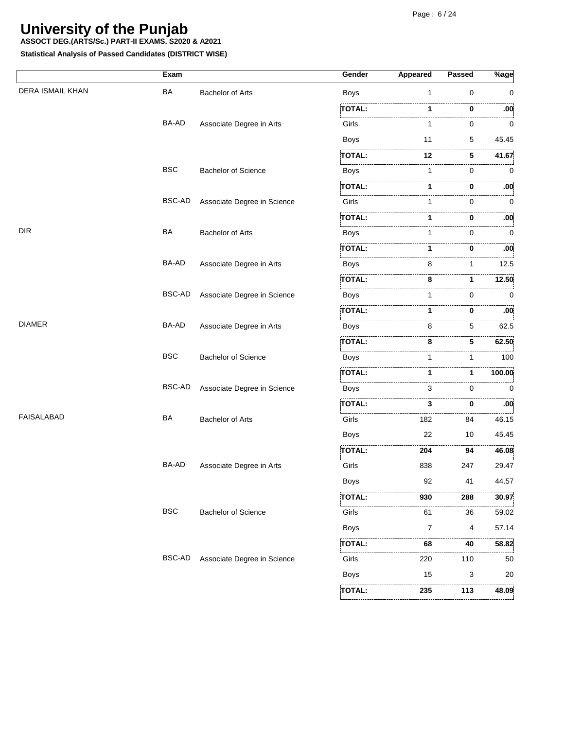**ASSOCT DEG.(ARTS/Sc.) PART-II EXAMS. S2020 & A2021**

|                         | Exam          |                             | Gender        | Appeared       | Passed   | $%$ age          |
|-------------------------|---------------|-----------------------------|---------------|----------------|----------|------------------|
| <b>DERA ISMAIL KHAN</b> | BA            | <b>Bachelor of Arts</b>     | Boys          | 1              | 0        | $\Omega$         |
|                         |               |                             | TOTAL:        |                | 0        | :00              |
|                         | BA-AD         | Associate Degree in Arts    | Girls         | 1              | 0        | <br>0            |
|                         |               |                             | Boys          | 11             | 5        | 45.45            |
|                         |               |                             | TOTAL:        | 12             | 5        | 41.67            |
|                         | <b>BSC</b>    | <b>Bachelor of Science</b>  | <b>Boys</b>   | 1              | $\Omega$ | $\Omega$         |
|                         |               |                             | <b>TOTAL:</b> |                | 0        | :00              |
|                         | BSC-AD        | Associate Degree in Science | Girls         |                | 0        | 0                |
|                         |               |                             | TOTAL:        |                | 0        | :00              |
| <b>DIR</b>              | BA            | <b>Bachelor of Arts</b>     | Boys          |                | 0        | 0                |
|                         |               |                             | <b>TOTAL:</b> |                | 0        | :00              |
|                         | BA-AD         | Associate Degree in Arts    | Boys          | 8              | 1        | 12.5             |
|                         |               |                             | <b>TOTAL:</b> | 8              | 1        | 12.50            |
|                         | <b>BSC-AD</b> | Associate Degree in Science | Boys          |                | 0        | 0                |
|                         |               |                             | <b>TOTAL:</b> | 1              | 0        | .00              |
| <b>DIAMER</b>           | BA-AD         | Associate Degree in Arts    | Boys          | 8              | 5        | 62.5             |
|                         |               |                             | <b>TOTAL:</b> | 8              | 5.       | 62.50            |
|                         | <b>BSC</b>    | <b>Bachelor of Science</b>  | <b>Boys</b>   | 1              | 1        | 100              |
|                         |               |                             | TOTAL:        |                | 1        | 100.00           |
|                         | BSC-AD        | Associate Degree in Science | Boys          | 3              | 0        | $\Omega$         |
|                         |               |                             | TOTAL:        | 3              | 0        | .00 <sub>i</sub> |
| <b>FAISALABAD</b>       | BA            | <b>Bachelor of Arts</b>     | Girls         | 182            | 84       | 46.15            |
|                         |               |                             | <b>Boys</b>   | 22             | 10       | 45.45            |
|                         |               |                             | <b>TOTAL:</b> | 204            | .<br>94  | 46.08            |
|                         | BA-AD         | Associate Degree in Arts    | Girls         | 838            | 247      | 29.47            |
|                         |               |                             | Boys          | 92             | 41       | 44.57            |
|                         |               |                             | ,<br>TOTAL:   | .<br>930       | <br>288  | .<br>30.97       |
|                         | <b>BSC</b>    | <b>Bachelor of Science</b>  | Girls         | 61             | 36       | .<br>59.02       |
|                         |               |                             | Boys          | $\overline{7}$ | 4        | 57.14            |
|                         |               |                             | TOTAL:        | 68             | 40       | 58.82            |
|                         | BSC-AD        | Associate Degree in Science | Girls         | .<br>220       | .<br>110 | .<br>50          |
|                         |               |                             | <b>Boys</b>   | 15             | 3        | 20               |
|                         |               |                             | TOTAL:        | 235            | 113      | 48.09            |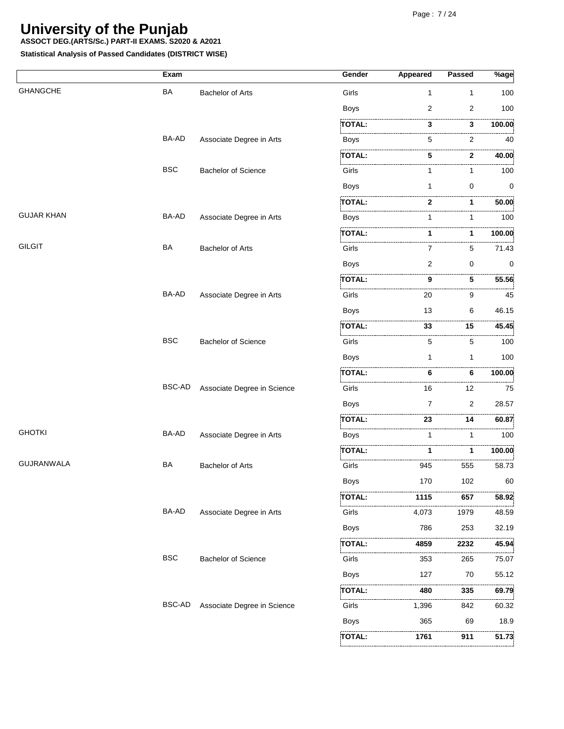**ASSOCT DEG.(ARTS/Sc.) PART-II EXAMS. S2020 & A2021**

|                   | Exam       |                             | Gender                                                                                                                  | Appeared       | Passed | $\sqrt[9]{8}$ age |
|-------------------|------------|-----------------------------|-------------------------------------------------------------------------------------------------------------------------|----------------|--------|-------------------|
| <b>GHANGCHE</b>   | <b>BA</b>  | <b>Bachelor of Arts</b>     | Girls                                                                                                                   | $\mathbf{1}$   | 1      | 100               |
|                   |            |                             | <b>Boys</b>                                                                                                             | $\overline{2}$ | 2      | 100               |
|                   |            |                             | <b>TOTAL:</b>                                                                                                           | 3              | .<br>3 | 100.00            |
|                   | BA-AD      | Associate Degree in Arts    | Boys                                                                                                                    | 5              | 2      | 40                |
|                   |            |                             | <b>TOTAL:</b>                                                                                                           | 5              | 2      | .<br>40.00        |
|                   | <b>BSC</b> | <b>Bachelor of Science</b>  | Girls                                                                                                                   |                | 1      | 100               |
|                   |            |                             | <b>Boys</b>                                                                                                             | 1              | 0      | 0                 |
|                   |            |                             | TOTAL:                                                                                                                  | 2              | 1      | 50.00             |
| <b>GUJAR KHAN</b> | BA-AD      | Associate Degree in Arts    | <b>Boys</b>                                                                                                             | 1              |        | .<br>100          |
|                   |            |                             | <b>TOTAL:</b>                                                                                                           |                | 1      | .<br>100.00       |
| <b>GILGIT</b>     | <b>BA</b>  | <b>Bachelor of Arts</b>     | .<br>Girls                                                                                                              | 7              | 5      | 71.43             |
|                   |            |                             | <b>Boys</b>                                                                                                             | $\overline{2}$ | 0      | 0                 |
|                   |            |                             | TOTAL:                                                                                                                  | 9              | 5      | 55.56             |
|                   | BA-AD      | Associate Degree in Arts    | Girls                                                                                                                   | 20             | 9      | 45                |
|                   |            |                             | <b>Boys</b>                                                                                                             | 13             | 6      | 46.15             |
|                   |            |                             | <b>TOTAL:</b>                                                                                                           | 33             | 15     | 45.45             |
|                   | <b>BSC</b> | <b>Bachelor of Science</b>  | Girls                                                                                                                   | 5              | 5      | .<br>100          |
|                   |            |                             | <b>Boys</b>                                                                                                             | $\mathbf 1$    | 1      | 100               |
|                   |            |                             | <b>TOTAL:</b>                                                                                                           | 6              | 6      | 100.00            |
|                   | BSC-AD     | Associate Degree in Science | Girls                                                                                                                   | 16             | 12     | . 3<br>75         |
|                   |            |                             | Boys                                                                                                                    | 7              | 2      | 28.57             |
|                   |            |                             | <b>TOTAL:</b>                                                                                                           | 23             | 14     | 60.87             |
| <b>GHOTKI</b>     | BA-AD      | Associate Degree in Arts    | the contract of the contract of the contract of the contract of the contract of the contract of the contract of<br>Boys | 1              | 1      | .<br>100          |
|                   |            |                             | TOTAL:                                                                                                                  |                | 1      | 100.00            |
| <b>GUJRANWALA</b> | BA         | <b>Bachelor of Arts</b>     | Girls                                                                                                                   | 945            | 555    | 58.73             |
|                   |            |                             | Boys                                                                                                                    | 170            | 102    | 60                |
|                   |            |                             | TOTAL:                                                                                                                  | 1115           | 657    | 58.92             |
|                   | BA-AD      | Associate Degree in Arts    | Girls                                                                                                                   | 4,073          | 1979   | 48.59             |
|                   |            |                             | <b>Boys</b>                                                                                                             | 786            | 253    | 32.19             |
|                   |            |                             | TOTAL:                                                                                                                  | 4859           | 2232   | 45.94             |
|                   | <b>BSC</b> | <b>Bachelor of Science</b>  | .<br>Girls                                                                                                              | 353            | 265    | 75.07             |
|                   |            |                             | <b>Boys</b>                                                                                                             | 127            | 70     | 55.12             |
|                   |            |                             | TOTAL:                                                                                                                  | 480            | 335    | 69.79             |
|                   | BSC-AD     | Associate Degree in Science | Girls                                                                                                                   | 1,396          | 842    | 60.32             |
|                   |            |                             | <b>Boys</b>                                                                                                             | 365            | 69     | 18.9              |
|                   |            |                             | ,<br>TOTAL:                                                                                                             | 1761           | 911    | 51.73             |
|                   |            |                             |                                                                                                                         |                |        |                   |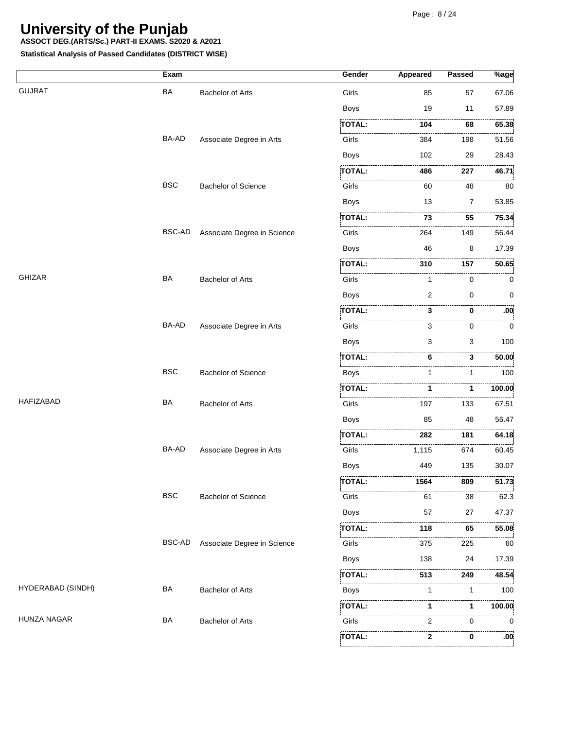**ASSOCT DEG.(ARTS/Sc.) PART-II EXAMS. S2020 & A2021**

|                    | Exam          |                             | Gender                                                                                                                      | <b>Appeared</b> | Passed         | $%$ age               |
|--------------------|---------------|-----------------------------|-----------------------------------------------------------------------------------------------------------------------------|-----------------|----------------|-----------------------|
| <b>GUJRAT</b>      | <b>BA</b>     | <b>Bachelor of Arts</b>     | Girls                                                                                                                       | 85              | 57             | 67.06                 |
|                    |               |                             | <b>Boys</b>                                                                                                                 | 19              | 11             | 57.89                 |
|                    |               |                             | <b>TOTAL:</b>                                                                                                               | 104             | 68             | 65.38                 |
|                    | BA-AD         | Associate Degree in Arts    | Girls                                                                                                                       | 384             | 198            | 51.56                 |
|                    |               |                             | <b>Boys</b>                                                                                                                 | 102             | 29             | 28.43                 |
|                    |               |                             | TOTAL:                                                                                                                      | 486             | 227            | 46.71                 |
|                    | <b>BSC</b>    | <b>Bachelor of Science</b>  | .<br>Liitika 1999. aastal 1999. aastal 1999. aastal 1999. aastal 1999. aastal 1999. aastal 1999. aastal 1999. aast<br>Girls | 60              | .<br>48        | 80                    |
|                    |               |                             | <b>Boys</b>                                                                                                                 | 13              | $\overline{7}$ | 53.85                 |
|                    |               |                             | <b>TOTAL:</b>                                                                                                               | 73              | 55             | 75.34                 |
|                    | <b>BSC-AD</b> | Associate Degree in Science | Girls                                                                                                                       | 264             | 149            | 56.44                 |
|                    |               |                             | <b>Boys</b>                                                                                                                 | 46              | 8              | 17.39                 |
|                    |               |                             | TOTAL:                                                                                                                      | 310             | .<br>157       | 50.65                 |
| <b>GHIZAR</b>      | <b>BA</b>     | <b>Bachelor of Arts</b>     | Girls                                                                                                                       | 1               | 0              | 0                     |
|                    |               |                             | Boys                                                                                                                        | 2               | 0              | 0                     |
|                    |               |                             | <b>TOTAL:</b>                                                                                                               | 3               | 0              | :00                   |
|                    | BA-AD         | Associate Degree in Arts    | Girls                                                                                                                       | 3               | 0              | 0                     |
|                    |               |                             | <b>Boys</b>                                                                                                                 | 3               | 3              | 100                   |
|                    |               |                             | TOTAL:                                                                                                                      | .<br>6          | .<br>3         | 50.00                 |
|                    | <b>BSC</b>    | <b>Bachelor of Science</b>  | Boys                                                                                                                        | 1               | 1              | 100                   |
|                    |               |                             | .<br>TOTAL:                                                                                                                 | 1               | 1              | 100.00                |
| <b>HAFIZABAD</b>   | BA            | <b>Bachelor of Arts</b>     | Girls                                                                                                                       | 197             | 133            | 67.51                 |
|                    |               |                             | <b>Boys</b>                                                                                                                 | 85              | 48             | 56.47                 |
|                    |               |                             | TOTAL:                                                                                                                      | 282             | 181            | 64.18                 |
|                    | BA-AD         | Associate Degree in Arts    | .<br>Girls                                                                                                                  | 1,115           | 674            | 60.45                 |
|                    |               |                             | <b>Boys</b>                                                                                                                 | 449             | 135            | 30.07                 |
|                    |               |                             | <b>TOTAL:</b>                                                                                                               | 1564            | 809            | 51.73                 |
|                    | <b>BSC</b>    | <b>Bachelor of Science</b>  | Girls                                                                                                                       | 61              | 38             | 62.3                  |
|                    |               |                             | <b>Boys</b>                                                                                                                 | 57              | 27             | 47.37                 |
|                    |               |                             | TOTAL:                                                                                                                      | <br>118         | 65             | 55.08                 |
|                    | BSC-AD        | Associate Degree in Science | Girls                                                                                                                       | 375             | 225            | 60                    |
|                    |               |                             | <b>Boys</b>                                                                                                                 | 138             | 24             | 17.39                 |
|                    |               |                             | TOTAL:                                                                                                                      | 513             | 249            | 48.54                 |
| HYDERABAD (SINDH)  | BA            | <b>Bachelor of Arts</b>     | <b>Boys</b>                                                                                                                 | 1               | 1              | 100                   |
|                    |               |                             | ,<br>TOTAL:                                                                                                                 |                 | 1              | 100.00                |
| <b>HUNZA NAGAR</b> | BA            | <b>Bachelor of Arts</b>     | Girls                                                                                                                       | 2               | 0              | 0                     |
|                    |               |                             | TOTAL:                                                                                                                      | 2               | 0              | .<br>.00 <sub>i</sub> |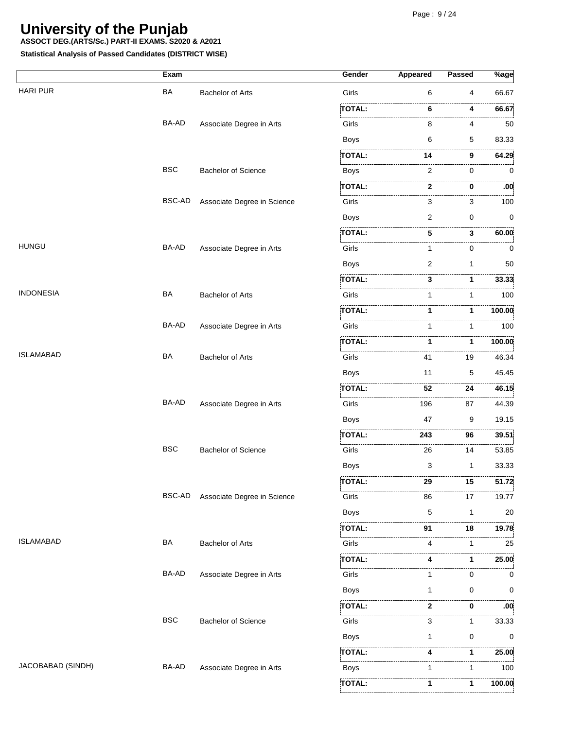**ASSOCT DEG.(ARTS/Sc.) PART-II EXAMS. S2020 & A2021**

**Statistical Analysis of Passed Candidates (DISTRICT WISE)**

|                   | Exam       |                             | Gender                                                           | Appeared | Passed       | $\sqrt[9]{6}$ age |
|-------------------|------------|-----------------------------|------------------------------------------------------------------|----------|--------------|-------------------|
| <b>HARI PUR</b>   | <b>BA</b>  | <b>Bachelor of Arts</b>     | Girls                                                            | 6        | 4            | 66.67             |
|                   |            |                             | TOTAL:                                                           | 6        | 4            | 66.67             |
|                   | BA-AD      | Associate Degree in Arts    | Girls                                                            | 8        | 4            | . 3<br>50         |
|                   |            |                             | <b>Boys</b>                                                      | 6        | 5            | 83.33             |
|                   |            |                             | TOTAL:                                                           | 14       | 9            | 64.29             |
|                   | <b>BSC</b> | <b>Bachelor of Science</b>  | <b>Boys</b>                                                      | 2        | 0            | 0                 |
|                   |            |                             | <b>TOTAL:</b>                                                    | 2        | 0            | :00               |
|                   | BSC-AD     | Associate Degree in Science | Girls                                                            | 3        | 3            | 100               |
|                   |            |                             | <b>Boys</b>                                                      | 2        | $\mathbf 0$  | 0                 |
|                   |            |                             | <b>TOTAL:</b>                                                    | 5        | 3            | 60.00             |
| <b>HUNGU</b>      | BA-AD      | Associate Degree in Arts    | Girls                                                            | 1        | 0            | 0                 |
|                   |            |                             | <b>Boys</b>                                                      | 2        | 1            | 50                |
|                   |            |                             | TOTAL:                                                           | 3        | 1            | 33.33             |
| <b>INDONESIA</b>  | <b>BA</b>  | Bachelor of Arts            | <br>Girls                                                        | 1        | 1            | . 3<br>100        |
|                   |            |                             | TOTAL:                                                           | 1        | 1            | 100.00            |
|                   | BA-AD      | Associate Degree in Arts    | Girls                                                            | 1        | 1            | . 3<br>100        |
|                   |            |                             | <b>TOTAL:</b>                                                    | 1        | 1            | 100.00            |
| <b>ISLAMABAD</b>  | <b>BA</b>  | <b>Bachelor of Arts</b>     | Girls                                                            | 41       | 19           | 46.34             |
|                   |            |                             | <b>Boys</b>                                                      | 11       | 5            | 45.45             |
|                   |            |                             | TOTAL:                                                           | 52       | .<br>24      | 46.15             |
|                   | BA-AD      | Associate Degree in Arts    | Girls                                                            | 196      | 87           | . 3<br>44.39      |
|                   |            |                             | <b>Boys</b>                                                      | 47       | 9            | 19.15             |
|                   |            |                             | <b>TOTAL:</b>                                                    | 243      | 96           | 39.51             |
|                   | <b>BSC</b> | <b>Bachelor of Science</b>  | Girls                                                            | .<br>26  | .<br>14      | 53.85             |
|                   |            |                             | <b>Boys</b>                                                      | 3        | $\mathbf{1}$ | 33.33             |
|                   |            |                             | <b>TOTAL:</b>                                                    | 29       | 15           | 51.72             |
|                   | BSC-AD     | Associate Degree in Science | Girls                                                            | 86       | 17           | 19.77             |
|                   |            |                             | Boys                                                             | 5        | $\mathbf{1}$ | 20                |
|                   |            |                             | TOTAL:                                                           | 91       | .<br>.<br>18 | 19.78             |
| <b>ISLAMABAD</b>  | BA         | <b>Bachelor of Arts</b>     | Girls                                                            | 4        | 1            | .<br>25           |
|                   |            |                             | TOTAL:                                                           | 4        | 1            | 25.00             |
|                   | BA-AD      | Associate Degree in Arts    | Girls                                                            | 1        | 0            | 0                 |
|                   |            |                             | <b>Boys</b>                                                      | 1        | 0            | 0                 |
|                   |            |                             | <b>TOTAL:</b>                                                    | 2        | 0            | :00               |
|                   | <b>BSC</b> | <b>Bachelor of Science</b>  | .<br>Liikuvalla liikuvalla liikuvalla liikuvalla liselt<br>Girls | 3        | 1            | . 3<br>33.33      |
|                   |            |                             | <b>Boys</b>                                                      | 1        | 0            | 0                 |
|                   |            |                             | TOTAL:                                                           | 4        | 1            | 25.00             |
| JACOBABAD (SINDH) | BA-AD      | Associate Degree in Arts    | <b>Boys</b>                                                      | 1        | 1            | .<br>100          |
|                   |            |                             | TOTAL:                                                           | 1        | 1            | 100.00            |
|                   |            |                             |                                                                  |          |              |                   |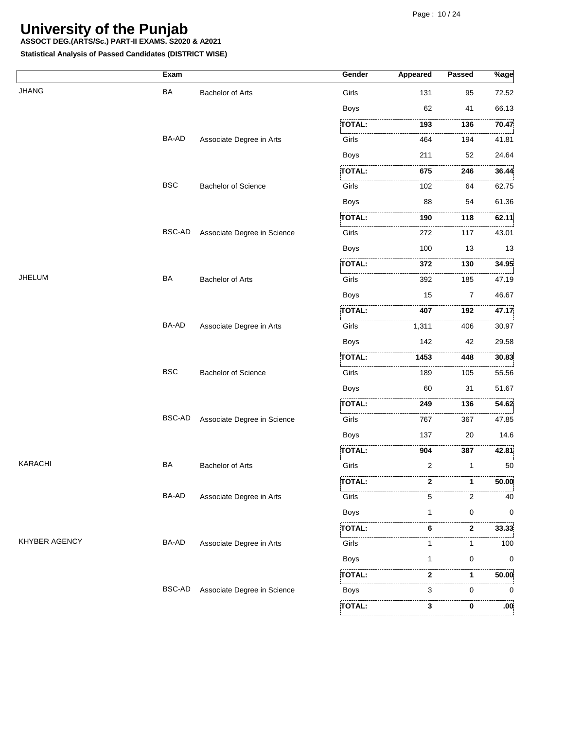**ASSOCT DEG.(ARTS/Sc.) PART-II EXAMS. S2020 & A2021**

|                      | Exam          |                             | Gender        | Appeared   | Passed   | %age          |
|----------------------|---------------|-----------------------------|---------------|------------|----------|---------------|
| <b>JHANG</b>         | <b>BA</b>     | <b>Bachelor of Arts</b>     | Girls         | 131        | 95       | 72.52         |
|                      |               |                             | Boys          | 62         | 41       | 66.13         |
|                      |               |                             | <b>TOTAL:</b> | 193        | 136      | 70.47         |
|                      | BA-AD         | Associate Degree in Arts    | Girls         | 464        | 194      | 41.81         |
|                      |               |                             | <b>Boys</b>   | 211        | 52       | 24.64         |
|                      |               |                             | TOTAL:        | <br>675    | .<br>246 | 36.44         |
|                      | <b>BSC</b>    | <b>Bachelor of Science</b>  | Girls         | 102        | 64       | 62.75         |
|                      |               |                             | <b>Boys</b>   | 88         | 54       | 61.36         |
|                      |               |                             | TOTAL:        | 190        | 118      | 62.11         |
|                      | <b>BSC-AD</b> | Associate Degree in Science | .<br>Girls    | .<br>272   | 117      | 43.01         |
|                      |               |                             | <b>Boys</b>   | 100        | 13       | 13            |
|                      |               |                             | TOTAL:        | 372        | 130      | 34.95         |
| <b>JHELUM</b>        | BA            | <b>Bachelor of Arts</b>     | Girls         | 392        | 185      | . 1<br>47.19  |
|                      |               |                             | <b>Boys</b>   | 15         | 7        | 46.67         |
|                      |               |                             | <b>TOTAL:</b> | 407        | 192      | 47.17         |
|                      | BA-AD         | Associate Degree in Arts    | Girls         | .<br>1,311 | 406      | 30.97         |
|                      |               |                             | <b>Boys</b>   | 142        | 42       | 29.58         |
|                      |               |                             | TOTAL:        | 1453       | 448      | 30.83         |
|                      | <b>BSC</b>    | <b>Bachelor of Science</b>  | Girls         | 189        | 105      | 55.56         |
|                      |               |                             | <b>Boys</b>   | 60         | 31       | 51.67         |
|                      |               |                             | TOTAL:        | 249        | 136      | 54.62         |
|                      | BSC-AD        | Associate Degree in Science | .<br>Girls    | 767        | .<br>367 | .<br>47.85    |
|                      |               |                             | <b>Boys</b>   | 137        | 20       | 14.6          |
|                      |               |                             | TOTAL:        | 904        | 387      | 42.81         |
| <b>KARACHI</b>       | <b>BA</b>     | <b>Bachelor of Arts</b>     | Girls         | 2          | 1        | .<br>50       |
|                      |               |                             | <b>TOTAL:</b> | 2          | 1        | 50.00         |
|                      | BA-AD         | Associate Degree in Arts    | Girls         | 5          | 2        | 40            |
|                      |               |                             | <b>Boys</b>   | 1          | 0        | 0             |
|                      |               |                             | TOTAL:        | 6          | .<br>2   | 33.33         |
| <b>KHYBER AGENCY</b> | BA-AD         | Associate Degree in Arts    | Girls         | 1          | 1        | 100           |
|                      |               |                             | <b>Boys</b>   | 1          | 0        | 0             |
|                      |               |                             | TOTAL:        | 2          | 1        | 50.00         |
|                      | <b>BSC-AD</b> | Associate Degree in Science | Boys          | 3          | 0        | 0             |
|                      |               |                             | <b>TOTAL:</b> | <br>3      | 0        | $.00^{\circ}$ |
|                      |               |                             |               |            |          |               |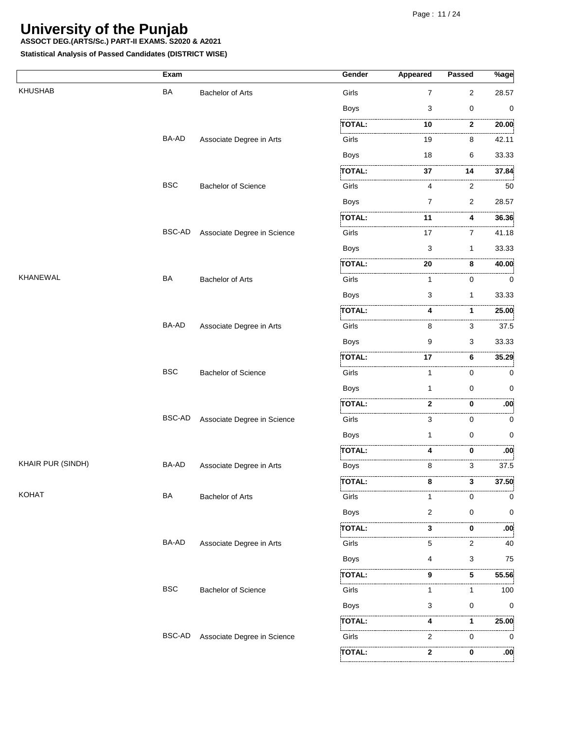**ASSOCT DEG.(ARTS/Sc.) PART-II EXAMS. S2020 & A2021**

|                   | Exam          |                             | Gender            | <b>Appeared</b> | Passed            | $%$ age          |
|-------------------|---------------|-----------------------------|-------------------|-----------------|-------------------|------------------|
| <b>KHUSHAB</b>    | BA            | <b>Bachelor of Arts</b>     | Girls             | 7               | $\overline{c}$    | 28.57            |
|                   |               |                             | <b>Boys</b>       | 3               | 0                 | 0                |
|                   |               |                             | <b>TOTAL:</b>     | .<br>10         | .<br>$\mathbf{2}$ | 20.00            |
|                   | BA-AD         | Associate Degree in Arts    | Girls             | 19              | .<br>8            | 42.11            |
|                   |               |                             | <b>Boys</b>       | 18              | 6                 | 33.33            |
|                   |               |                             | TOTAL:            | 37              | 14                | 37.84            |
|                   | <b>BSC</b>    | <b>Bachelor of Science</b>  | Girls             | 4               | .<br>2            | 50               |
|                   |               |                             | <b>Boys</b>       | $\overline{7}$  | 2                 | 28.57            |
|                   |               |                             | <b>TOTAL:</b>     | 11              | 4                 | 36.36            |
|                   | <b>BSC-AD</b> | Associate Degree in Science | Girls             | 17              | .<br>7            | 41.18            |
|                   |               |                             | Boys              | 3               | 1                 | 33.33            |
|                   |               |                             | <b>TOTAL:</b>     | 20              | .<br>8            | 40.00            |
| <b>KHANEWAL</b>   | BA            | <b>Bachelor of Arts</b>     | Girls             | 1               | 0                 | 0                |
|                   |               |                             | Boys              | 3               | $\mathbf{1}$      | 33.33            |
|                   |               |                             | <b>TOTAL:</b>     | 4               | 1                 | 25.00            |
|                   | BA-AD         | Associate Degree in Arts    | Girls             | 8               | 3                 | 37.5             |
|                   |               |                             | <b>Boys</b>       | 9               | 3                 | 33.33            |
|                   |               |                             | TOTAL:            | 17              | .<br>6            | 35.29            |
|                   | <b>BSC</b>    | <b>Bachelor of Science</b>  | Girls             | 1               | 0                 | 0                |
|                   |               |                             | <b>Boys</b>       | 1               | 0                 | 0                |
|                   |               |                             | <b>TOTAL:</b>     | 2               | 0                 | .00              |
|                   | BSC-AD        | Associate Degree in Science | Girls             | 3               | .<br>0            | 0                |
|                   |               |                             | <b>Boys</b>       | 1               | $\mathbf 0$       | 0                |
|                   |               |                             | <b>TOTAL:</b>     | 4               | 0                 | .00 <sub>i</sub> |
| KHAIR PUR (SINDH) | BA-AD         | Associate Degree in Arts    | Boys              | 8               | .<br>3            | . 1<br>37.5      |
|                   |               |                             | للتنبيع<br>TOTAL: | 8               | 3                 | 37.50            |
| <b>KOHAT</b>      | BA            | <b>Bachelor of Arts</b>     | Girls             | 1               | 0                 | 0                |
|                   |               |                             | Boys              | 2               | 0                 | 0                |
|                   |               |                             | TOTAL:            | 3               | 0                 | :00              |
|                   | BA-AD         | Associate Degree in Arts    | Girls             | 5               | .<br>2            | 40               |
|                   |               |                             | Boys              | 4               | 3                 | 75               |
|                   |               |                             | TOTAL:            | 9               | 5                 | 55.56            |
|                   | <b>BSC</b>    | <b>Bachelor of Science</b>  | Girls             | 1               | 1                 | 100              |
|                   |               |                             | <b>Boys</b>       | 3               | 0                 | 0                |
|                   |               |                             | TOTAL:            | .<br>4          | 1                 | 25.00            |
|                   | <b>BSC-AD</b> | Associate Degree in Science | Girls             | 2               | 0                 | 0                |
|                   |               |                             | TOTAL:            | 2               | 0                 | :00              |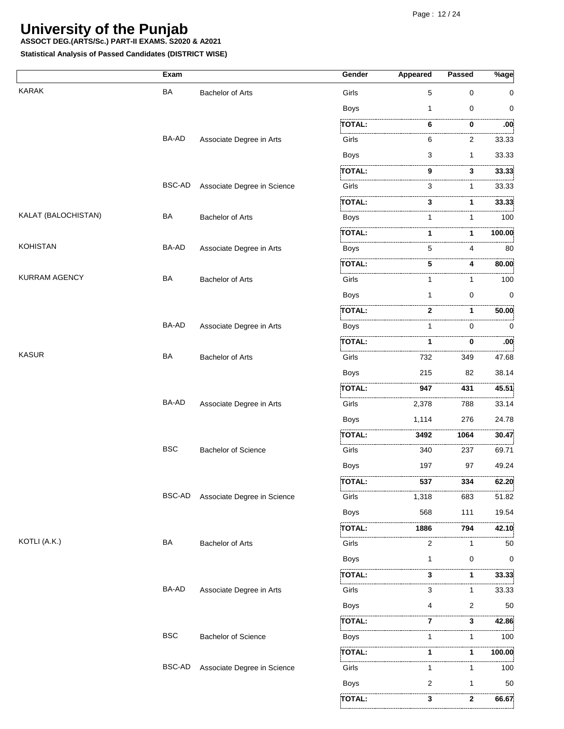**ASSOCT DEG.(ARTS/Sc.) PART-II EXAMS. S2020 & A2021**

**Statistical Analysis of Passed Candidates (DISTRICT WISE)**

|                     | Exam          |                             | Gender        | Appeared  | <b>Passed</b> | $%$ age     |
|---------------------|---------------|-----------------------------|---------------|-----------|---------------|-------------|
| <b>KARAK</b>        | <b>BA</b>     | <b>Bachelor of Arts</b>     | Girls         | 5         | $\mathbf 0$   | 0           |
|                     |               |                             | <b>Boys</b>   | 1         | 0             | 0           |
|                     |               |                             | <b>TOTAL:</b> | 6         | 0             | .<br>:00    |
|                     | BA-AD         | Associate Degree in Arts    | Girls         | 6         | 2             | 33.33       |
|                     |               |                             | <b>Boys</b>   | 3         | $\mathbf{1}$  | 33.33       |
|                     |               |                             | TOTAL:        | 9         | 3             | 33.33       |
|                     | BSC-AD        | Associate Degree in Science | Girls         | 3         | 1             | 33.33       |
|                     |               |                             | TOTAL:        | 3         | 1             | 33.33       |
| KALAT (BALOCHISTAN) | BA            | <b>Bachelor of Arts</b>     | Boys          | 1         | 1             | 100         |
|                     |               |                             | TOTAL:        | 1         | 1             | 100.00      |
| <b>KOHISTAN</b>     | BA-AD         | Associate Degree in Arts    | Boys          | 5         | 4             | 80          |
|                     |               |                             | .<br>TOTAL:   | 5         | 4             | 80.00       |
| KURRAM AGENCY       | <b>BA</b>     | <b>Bachelor of Arts</b>     | Girls         | 1         | 1             | 100         |
|                     |               |                             | <b>Boys</b>   | 1         | $\mathbf 0$   | $\mathbf 0$ |
|                     |               |                             | <b>TOTAL:</b> | 2         | $\mathbf 1$   | 50.00       |
|                     | BA-AD         | Associate Degree in Arts    | Boys          | 1         | 0             | 0           |
|                     |               |                             | <b>TOTAL:</b> | 1         | 0             | :00         |
| <b>KASUR</b>        | BA            | <b>Bachelor of Arts</b>     | Girls         | .<br>732  | 349           | .<br>47.68  |
|                     |               |                             | <b>Boys</b>   | 215       | 82            | 38.14       |
|                     |               |                             | TOTAL:        | <br>947   | .<br>431      | 45.51       |
|                     | BA-AD         | Associate Degree in Arts    | Girls         | 2,378     | 788           | 33.14       |
|                     |               |                             | <b>Boys</b>   | 1,114     | 276           | 24.78       |
|                     |               |                             | <b>TOTAL:</b> | 3492      | 1064          | 30.47       |
|                     | <b>BSC</b>    | <b>Bachelor of Science</b>  | Girls         | <br>340   | .<br>237      | .<br>69.71  |
|                     |               |                             | <b>Boys</b>   | 197       | 97            | 49.24       |
|                     |               |                             | <b>TOTAL:</b> | 537       | 334           | 62.20       |
|                     | BSC-AD        | Associate Degree in Science | Girls         | 1,318     | 683           | 51.82       |
|                     |               |                             | <b>Boys</b>   | 568       | 111           | 19.54       |
|                     |               |                             | TOTAL:        | .<br>1886 | .<br>794      | 42.10       |
| KOTLI (A.K.)        | BA            | <b>Bachelor of Arts</b>     | Girls         | 2         | 1             | 50          |
|                     |               |                             | Boys          | 1         | 0             | 0           |
|                     |               |                             | TOTAL:        | 3         | 1             | 33.33       |
|                     | BA-AD         | Associate Degree in Arts    | Girls         | 3         | 1             | 33.33       |
|                     |               |                             | <b>Boys</b>   |           | 2             | 50          |
|                     |               |                             | TOTAL:        | 7         | 3             | .<br>42.86  |
|                     | <b>BSC</b>    | <b>Bachelor of Science</b>  | Boys          | 1         | 1             | 100         |
|                     |               |                             | TOTAL:        | 1         | 1             | 100.00      |
|                     | <b>BSC-AD</b> | Associate Degree in Science | Girls         | 1         | 1             | 100         |
|                     |               |                             | <b>Boys</b>   | 2         | 1             | 50          |
|                     |               |                             | TOTAL:        | 3         | 2             | .<br>66.67  |
|                     |               |                             |               |           |               |             |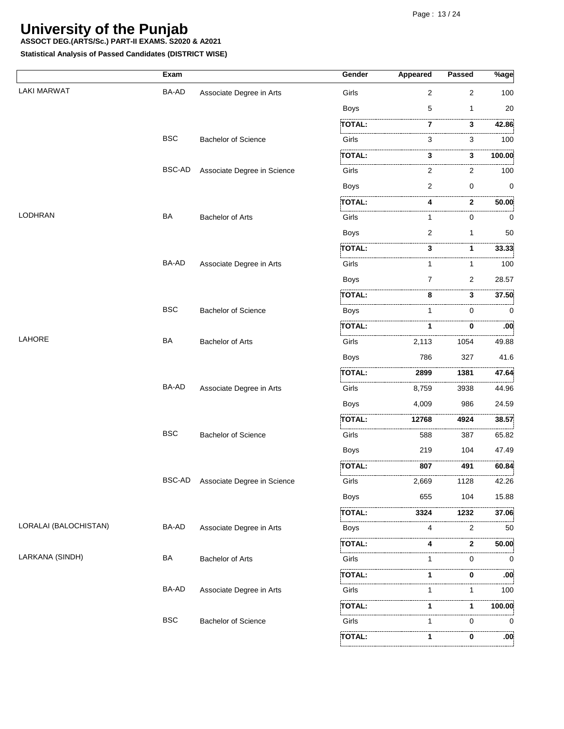**ASSOCT DEG.(ARTS/Sc.) PART-II EXAMS. S2020 & A2021**

|                       | Exam         |                             | Gender        | <b>Appeared</b> | <b>Passed</b>     | $\overline{\%}$ age |
|-----------------------|--------------|-----------------------------|---------------|-----------------|-------------------|---------------------|
| <b>LAKI MARWAT</b>    | BA-AD        | Associate Degree in Arts    | Girls         | 2               | 2                 | 100                 |
|                       |              |                             | <b>Boys</b>   | 5               | 1                 | 20                  |
|                       |              |                             | TOTAL:        | 7               | <br>3             | 42.86               |
|                       | <b>BSC</b>   | Bachelor of Science         | Girls         | 3               | 3                 | 100                 |
|                       |              |                             | TOTAL:        | 3               | 3                 | 100.00              |
|                       | BSC-AD       | Associate Degree in Science | Girls         | 2               | 2                 | 100                 |
|                       |              |                             | <b>Boys</b>   | $\overline{2}$  | $\mathbf 0$       | 0                   |
|                       |              |                             | TOTAL:        | 4               | .<br>$\mathbf{2}$ | 50.00               |
| <b>LODHRAN</b>        | <b>BA</b>    | <b>Bachelor of Arts</b>     | Girls         | 1               | 0                 | 0                   |
|                       |              |                             | <b>Boys</b>   | $\overline{2}$  | 1                 | 50                  |
|                       |              |                             | TOTAL:        | 3               | 1                 | 33.33               |
|                       | <b>BA-AD</b> | Associate Degree in Arts    | Girls         | 1               | 1                 | 100                 |
|                       |              |                             | <b>Boys</b>   | $\overline{7}$  | 2                 | 28.57               |
|                       |              |                             | TOTAL:        | 8               | 3                 | 37.50               |
|                       | <b>BSC</b>   | <b>Bachelor of Science</b>  | <b>Boys</b>   | 1               | $\Omega$          | $\mathbf 0$         |
|                       |              |                             | TOTAL:        | 1               | 0                 | :00                 |
| LAHORE                | <b>BA</b>    | Bachelor of Arts            | Girls         | 2,113           | 1054              | .<br>49.88          |
|                       |              |                             | <b>Boys</b>   | 786             | 327               | 41.6                |
|                       |              |                             | TOTAL:        | 2899            | 1381              | 47.64               |
|                       | BA-AD        | Associate Degree in Arts    | Girls         | 8,759           | 3938              | 44.96               |
|                       |              |                             | <b>Boys</b>   | 4,009           | 986               | 24.59               |
|                       |              |                             | .<br>TOTAL:   | 12768           | .<br>4924         | 38.57               |
|                       | <b>BSC</b>   | <b>Bachelor of Science</b>  | Girls         | 588             | 387               | 65.82               |
|                       |              |                             | <b>Boys</b>   | 219             | 104               | 47.49               |
|                       |              |                             | TOTAL:        | 807             | 491               | 60.84               |
|                       | BSC-AD       | Associate Degree in Science | Girls         | 2,669           | .<br>1128         | 42.26               |
|                       |              |                             | <b>Boys</b>   | 655             | 104               | 15.88               |
|                       |              |                             | TOTAL:        | 3324            | 1232              | 37.06               |
| LORALAI (BALOCHISTAN) | BA-AD        | Associate Degree in Arts    | <b>Boys</b>   | 4               | .<br>2            | .<br>50             |
|                       |              |                             | TOTAL:        | 4               | 2                 | 50.00               |
| LARKANA (SINDH)       | <b>BA</b>    | <b>Bachelor of Arts</b>     | Girls         | 1               | $\Omega$          | .<br>$\Omega$       |
|                       |              |                             | TOTAL:        | 1               | 0                 | :00                 |
|                       | BA-AD        | Associate Degree in Arts    | Girls         | 1               | 1                 | .<br>100            |
|                       |              |                             | TOTAL:        | 1               | 1                 | 100.00              |
|                       | <b>BSC</b>   | <b>Bachelor of Science</b>  | Girls         | 1               | $\Omega$          | $\Omega$            |
|                       |              |                             | <b>TOTAL:</b> | 1               | 0                 | .<br>$.00^{\circ}$  |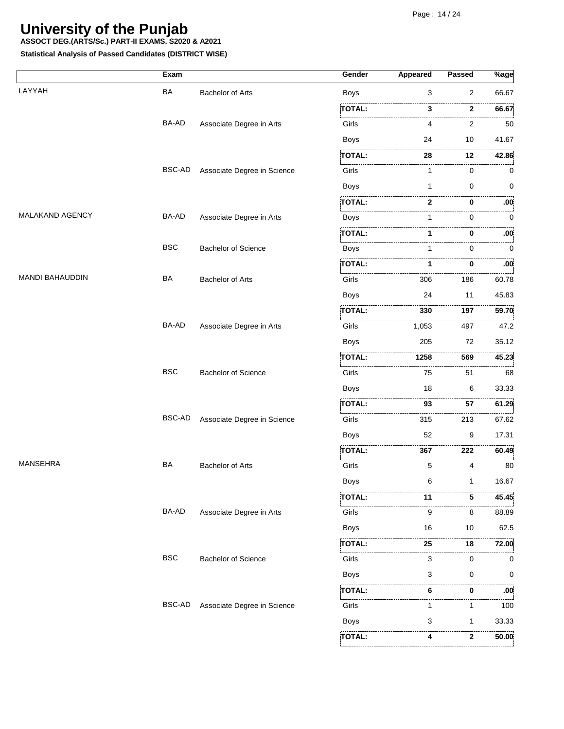**ASSOCT DEG.(ARTS/Sc.) PART-II EXAMS. S2020 & A2021**

|                        | Exam       |                             | Gender          | <b>Appeared</b> | Passed   | %age       |
|------------------------|------------|-----------------------------|-----------------|-----------------|----------|------------|
| LAYYAH                 | <b>BA</b>  | <b>Bachelor of Arts</b>     | <b>Boys</b>     | 3               | 2        | 66.67      |
|                        |            |                             | TOTAL:          | 3               | 2        | .<br>66.67 |
|                        | BA-AD      | Associate Degree in Arts    | i.<br>Girls     | 4               | 2        | 50         |
|                        |            |                             | <b>Boys</b>     | 24              | 10       | 41.67      |
|                        |            |                             | <b>TOTAL:</b>   | 28              | 12       | 42.86      |
|                        | BSC-AD     | Associate Degree in Science | .<br>Girls      | 1               | 0        | 0          |
|                        |            |                             | <b>Boys</b>     | 1               | 0        | 0          |
|                        |            |                             | TOTAL:          | 2               | 0        | :00        |
| MALAKAND AGENCY        | BA-AD      | Associate Degree in Arts    | <b>Boys</b>     |                 | 0        | 0          |
|                        |            |                             | <b>TOTAL:</b>   |                 | 0        | :00        |
|                        | <b>BSC</b> | <b>Bachelor of Science</b>  | .<br>1.<br>Boys |                 | 0        | $\Omega$   |
|                        |            |                             | .<br>TOTAL:     |                 | 0        | :00        |
| <b>MANDI BAHAUDDIN</b> | BA         | <b>Bachelor of Arts</b>     | Girls           | 306             | 186      | 60.78      |
|                        |            |                             | Boys            | 24              | 11       | 45.83      |
|                        |            |                             | <b>TOTAL:</b>   | 330             | 197      | 59.70      |
|                        | BA-AD      | Associate Degree in Arts    | Girls           | 1,053           | 497      | 47.2       |
|                        |            |                             | <b>Boys</b>     | 205             | 72       | 35.12      |
|                        |            |                             | TOTAL:          | 1258            | <br>569  | .<br>45.23 |
|                        | <b>BSC</b> | <b>Bachelor of Science</b>  | Girls           | 75              | 51       | 68         |
|                        |            |                             | <b>Boys</b>     | 18              | 6        | 33.33      |
|                        |            |                             | <b>TOTAL:</b>   | 93              | 57       | 61.29      |
|                        | BSC-AD     | Associate Degree in Science | Girls           | .<br>315        | .<br>213 | .<br>67.62 |
|                        |            |                             | <b>Boys</b>     | 52              | 9        | 17.31      |
|                        |            |                             | TOTAL:          | 367             | 222      | 60.49      |
| <b>MANSEHRA</b>        | BA         | <b>Bachelor of Arts</b>     | Girls           | 5               | 4        | .<br>80    |
|                        |            |                             | Boys            | 6               | 1        | 16.67      |
|                        |            |                             | TOTAL:          | 11              | 5        | 45.45      |
|                        | BA-AD      | Associate Degree in Arts    | Girls           | 9               | 8        | 88.89      |
|                        |            |                             | Boys            | 16              | 10       | 62.5       |
|                        |            |                             | <b>TOTAL:</b>   | 25              | 18       | 72.00      |
|                        | <b>BSC</b> | <b>Bachelor of Science</b>  | Girls           | 3               | 0        | 0          |
|                        |            |                             | <b>Boys</b>     | 3               | 0        | 0          |
|                        |            |                             | TOTAL:          | 6               | 0        | .<br>:00   |
|                        | BSC-AD     | Associate Degree in Science | Girls           |                 | 1        | 100        |
|                        |            |                             | Boys            | 3               | 1        | 33.33      |
|                        |            |                             | TOTAL:          | 4               | 2        | 50.00      |
|                        |            |                             |                 |                 |          |            |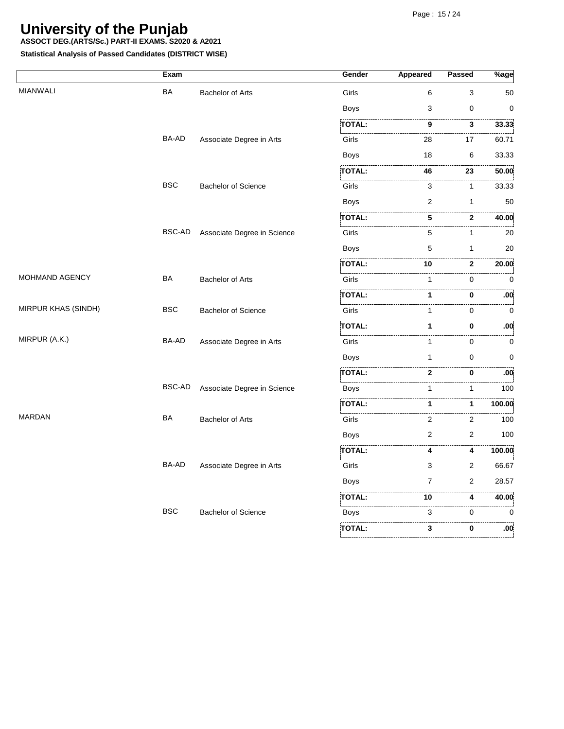**ASSOCT DEG.(ARTS/Sc.) PART-II EXAMS. S2020 & A2021**

|                       | Exam          |                             | Gender                                                                                                                       | <b>Appeared</b> | <b>Passed</b>     | $\sqrt[6]{8}$ age |
|-----------------------|---------------|-----------------------------|------------------------------------------------------------------------------------------------------------------------------|-----------------|-------------------|-------------------|
| <b>MIANWALI</b>       | BA            | <b>Bachelor of Arts</b>     | Girls                                                                                                                        | 6               | 3                 | 50                |
|                       |               |                             | Boys                                                                                                                         | 3               | $\mathbf 0$       | $\mathbf 0$       |
|                       |               |                             | TOTAL:                                                                                                                       | .<br>9          | 3                 | 33.33             |
|                       | BA-AD         | Associate Degree in Arts    | .<br>Littlinininininininininininininininin<br>Girls                                                                          | 28              | 17                | .<br>60.71        |
|                       |               |                             | <b>Boys</b>                                                                                                                  | 18              | 6                 | 33.33             |
|                       |               |                             | <b>TOTAL:</b>                                                                                                                | 46              | .<br>23           | 50.00             |
|                       | <b>BSC</b>    | <b>Bachelor of Science</b>  | Girls                                                                                                                        | 3               | $\mathbf{1}$      | .<br>33.33        |
|                       |               |                             | <b>Boys</b>                                                                                                                  | 2               | $\mathbf{1}$      | 50                |
|                       |               |                             | TOTAL:                                                                                                                       | .<br>5          | .<br>$\mathbf{2}$ | 40.00             |
|                       | BSC-AD        | Associate Degree in Science | Girls                                                                                                                        | 5               | 1                 | . 3<br>.<br>20    |
|                       |               |                             | <b>Boys</b>                                                                                                                  | 5               | $\mathbf{1}$      | 20                |
|                       |               |                             | <b>TOTAL:</b>                                                                                                                | 10              | $\mathbf{2}$      | 20.00             |
| <b>MOHMAND AGENCY</b> | BA            | <b>Bachelor of Arts</b>     | Girls                                                                                                                        | 1               | .<br>0            | .<br>. 3<br>0     |
|                       |               |                             | TOTAL:                                                                                                                       | 1               | 0                 | :00               |
| MIRPUR KHAS (SINDH)   | <b>BSC</b>    | <b>Bachelor of Science</b>  | .<br>Literatura internacional de l'architectura del mondo de l'architectura del mondo del mondo del mondo del mondo<br>Girls | 1               | 0                 | . 3<br>0          |
|                       |               |                             | TOTAL:                                                                                                                       | 1               | 0                 | $.00^{\circ}$     |
| MIRPUR (A.K.)         | BA-AD         | Associate Degree in Arts    | Girls                                                                                                                        | 1               | .<br>0            | نددد<br>0         |
|                       |               |                             | Boys                                                                                                                         | 1               | $\mathbf 0$       | 0                 |
|                       |               |                             | TOTAL:                                                                                                                       | .<br>2          | 0                 | :00               |
|                       | <b>BSC-AD</b> | Associate Degree in Science | .<br>Liitiisisti siteisti siteisti siteisti siteisti siteist<br>Boys                                                         | 1               | 1                 | . 3<br>100        |
|                       |               |                             | <b>TOTAL:</b>                                                                                                                | 1               | $\mathbf 1$       | 100.00            |
| <b>MARDAN</b>         | BA            | <b>Bachelor of Arts</b>     | Girls                                                                                                                        | 2               | <br>2             | . 3<br>100        |
|                       |               |                             | <b>Boys</b>                                                                                                                  | 2               | 2                 | 100               |
|                       |               |                             | <b>TOTAL:</b>                                                                                                                | 4               | 4                 | 100.00            |
|                       | BA-AD         | Associate Degree in Arts    | Girls                                                                                                                        | .<br>3          | .<br>.<br>2       | .<br>66.67        |
|                       |               |                             | Boys                                                                                                                         | $\overline{7}$  | 2                 | 28.57             |
|                       |               |                             | TOTAL:                                                                                                                       | 10              | 4                 | 40.00             |
|                       | <b>BSC</b>    | <b>Bachelor of Science</b>  | Boys                                                                                                                         | 3               | 0                 | 0                 |
|                       |               |                             | <b>TOTAL:</b>                                                                                                                | .<br>3          | 0                 | :00               |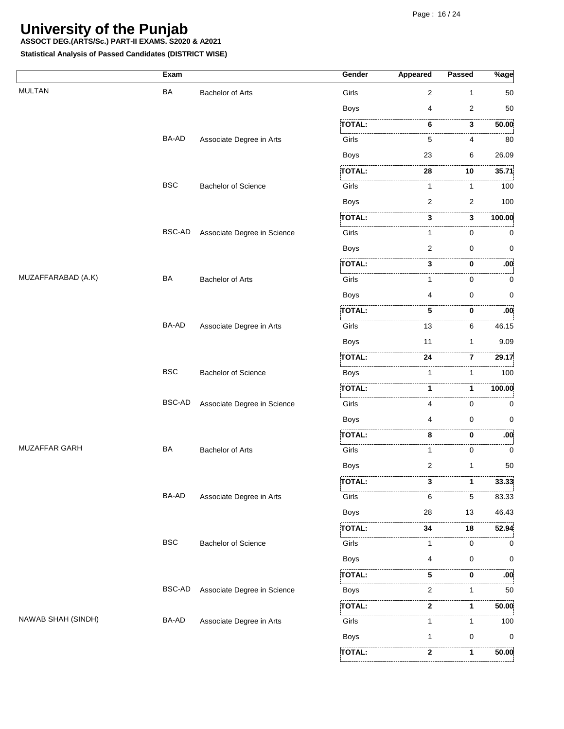**ASSOCT DEG.(ARTS/Sc.) PART-II EXAMS. S2020 & A2021**

**Statistical Analysis of Passed Candidates (DISTRICT WISE)**

**2**

**TOTAL:**

**1**

 **50.00**

|                    | Exam       |                             | Gender        | <b>Appeared</b> | Passed              | $%$ age          |
|--------------------|------------|-----------------------------|---------------|-----------------|---------------------|------------------|
| <b>MULTAN</b>      | BA         | <b>Bachelor of Arts</b>     | Girls         | 2               | $\mathbf{1}$        | 50               |
|                    |            |                             | <b>Boys</b>   | 4               | 2                   | 50               |
|                    |            |                             | <b>TOTAL:</b> | 6               | .<br>.<br>3         | 50.00            |
|                    | BA-AD      | Associate Degree in Arts    | Girls         | 5               | 4                   | 80               |
|                    |            |                             | Boys          | 23              | 6                   | 26.09            |
|                    |            |                             | TOTAL:        | 28              | 10                  | 35.71            |
|                    | <b>BSC</b> | <b>Bachelor of Science</b>  | Girls         | $\mathbf{1}$    | $\mathbf{1}$        | 100              |
|                    |            |                             | <b>Boys</b>   | 2               | $\overline{2}$      | 100              |
|                    |            |                             | <b>TOTAL:</b> | 3               | .<br>3              | 100.00           |
|                    | BSC-AD     | Associate Degree in Science | Girls         | 1               | 0                   | 0                |
|                    |            |                             | <b>Boys</b>   | 2               | 0                   | 0                |
|                    |            |                             | TOTAL:        | 3               | 0                   | .00 <sub>i</sub> |
| MUZAFFARABAD (A.K) | BA         | <b>Bachelor of Arts</b>     | Girls         | 1               | 0                   | 0                |
|                    |            |                             | <b>Boys</b>   | 4               | 0                   | 0                |
|                    |            |                             | <b>TOTAL:</b> | 5               | 0                   | :00              |
|                    | BA-AD      | Associate Degree in Arts    | Girls         | 13              | 6                   | .<br>46.15       |
|                    |            |                             | <b>Boys</b>   | 11              | $\mathbf{1}$        | 9.09             |
|                    |            |                             | <b>TOTAL:</b> | 24              | .<br>$\overline{7}$ | 29.17            |
|                    | <b>BSC</b> | <b>Bachelor of Science</b>  | Boys          | 1               | 1                   | . 3<br>100       |
|                    |            |                             | <b>TOTAL:</b> |                 | 1                   | 100.00           |
|                    | BSC-AD     | Associate Degree in Science | Girls         | 4               | 0                   | 0                |
|                    |            |                             | Boys          | 4               | $\mathbf 0$         | 0                |
|                    |            |                             | <b>TOTAL:</b> | 8               | 0                   | :00              |
| MUZAFFAR GARH      | BA         | <b>Bachelor of Arts</b>     | Girls         | 1               | 0                   | . 3<br>0         |
|                    |            |                             | <b>Boys</b>   | 2               | 1                   | 50               |
|                    |            |                             | <b>TOTAL:</b> | 3               | 1                   | 33.33            |
|                    | BA-AD      | Associate Degree in Arts    | Girls         | 6               | 5                   | 83.33            |
|                    |            |                             | Boys          | 28              | 13                  | 46.43            |
|                    |            |                             | TOTAL:        | 34              | 18                  | 52.94            |
|                    | <b>BSC</b> | <b>Bachelor of Science</b>  | Girls         | 1               | 0                   | 0                |
|                    |            |                             | Boys          | 4               | 0                   | 0                |
|                    |            |                             | TOTAL:        | 5               | 0                   | :00              |
|                    | BSC-AD     | Associate Degree in Science | Boys          | 2               | 1                   | .<br>50          |
|                    |            |                             | <b>TOTAL:</b> | 2               | 1                   | 50.00            |
| NAWAB SHAH (SINDH) | BA-AD      | Associate Degree in Arts    | Girls         | 1               | 1                   | 100              |
|                    |            |                             | <b>Boys</b>   | 1               | 0                   | 0                |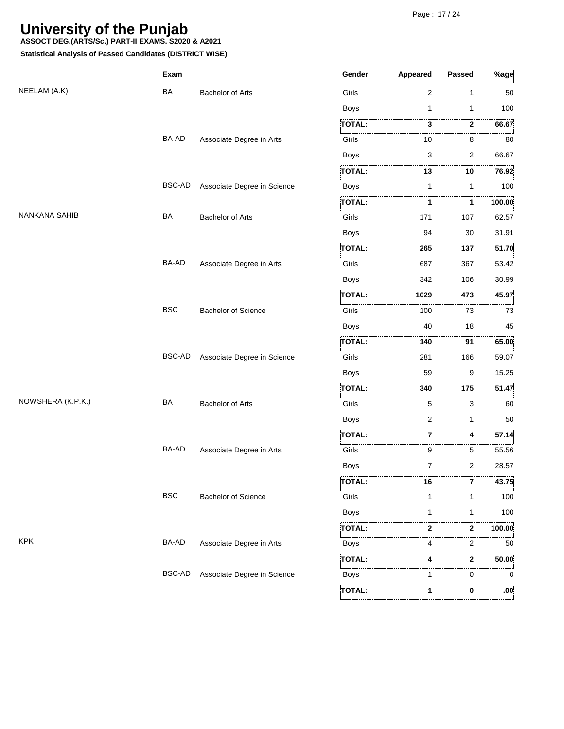**ASSOCT DEG.(ARTS/Sc.) PART-II EXAMS. S2020 & A2021**

|                   | Exam          |                             | Gender             | <b>Appeared</b> | Passed         | $\sqrt[6]{\text{age}}$ |
|-------------------|---------------|-----------------------------|--------------------|-----------------|----------------|------------------------|
| NEELAM (A.K)      | BA            | <b>Bachelor of Arts</b>     | Girls              | $\overline{c}$  | 1              | 50                     |
|                   |               |                             | <b>Boys</b>        | 1               | 1              | 100                    |
|                   |               |                             | <b>TOTAL:</b>      | 3               | 2              | 66.67                  |
|                   | BA-AD         | Associate Degree in Arts    | Girls              | 10              | 8              | .<br>80                |
|                   |               |                             | <b>Boys</b>        | 3               | 2              | 66.67                  |
|                   |               |                             | <b>TOTAL:</b>      | 13              | 10             | 76.92                  |
|                   | <b>BSC-AD</b> | Associate Degree in Science | <b>Boys</b>        | 1               | 1              | .<br>100               |
|                   |               |                             | .<br><b>TOTAL:</b> | 1               | 1              | .<br>100.00            |
| NANKANA SAHIB     | BA            | <b>Bachelor of Arts</b>     | Girls              | 171             | 107            | . 3<br>62.57           |
|                   |               |                             | <b>Boys</b>        | 94              | 30             | 31.91                  |
|                   |               |                             | <b>TOTAL:</b>      | <br>265         | .<br>137       | 51.70                  |
|                   | BA-AD         | Associate Degree in Arts    | Girls              | 687             | 367            | 53.42                  |
|                   |               |                             | <b>Boys</b>        | 342             | 106            | 30.99                  |
|                   |               |                             | TOTAL:             | 1029            | 473            | 45.97                  |
|                   | <b>BSC</b>    | <b>Bachelor of Science</b>  | Girls              | 100             | .<br>73        | .<br>73                |
|                   |               |                             | <b>Boys</b>        | 40              | 18             | 45                     |
|                   |               |                             | TOTAL:             | 140             | 91             | 65.00                  |
|                   | <b>BSC-AD</b> | Associate Degree in Science | Girls              | 281             | 166            | 59.07                  |
|                   |               |                             | <b>Boys</b>        | 59              | 9              | 15.25                  |
|                   |               |                             | TOTAL:             | .<br>340        | 175            | 51.47                  |
| NOWSHERA (K.P.K.) | BA            | <b>Bachelor of Arts</b>     | Girls              | 5               | 3              | 60                     |
|                   |               |                             | <b>Boys</b>        | 2               | 1              | 50                     |
|                   |               |                             | <b>TOTAL:</b>      | 7               | .<br>4         | 57.14                  |
|                   | BA-AD         | Associate Degree in Arts    | Girls              | 9               | 5              | 55.56                  |
|                   |               |                             | <b>Boys</b>        | 7               | $\overline{c}$ | 28.57                  |
|                   |               |                             | <b>IOIAL:</b>      | 16              |                | 43.75                  |
|                   | <b>BSC</b>    | <b>Bachelor of Science</b>  | Girls              |                 | 1              | 100                    |
|                   |               |                             | <b>Boys</b>        | 1               | 1              | 100                    |
|                   |               |                             | <b>TOTAL:</b>      | 2               | 2              | 100.00                 |
| <b>KPK</b>        | BA-AD         | Associate Degree in Arts    | Boys               | 4               | 2              | 50                     |
|                   |               |                             | TOTAL:             | 4               | 2              | 50.00                  |
|                   | <b>BSC-AD</b> | Associate Degree in Science | Boys               | 1               | .<br>0         | 0                      |
|                   |               |                             | <b>TOTAL:</b>      | 1               | 0              | .00 <sub>1</sub>       |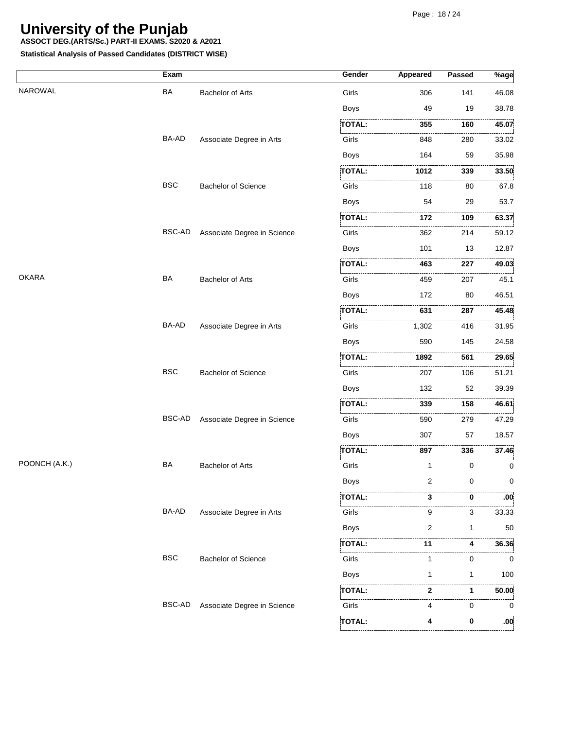**ASSOCT DEG.(ARTS/Sc.) PART-II EXAMS. S2020 & A2021**

|               | Exam       |                             | Gender               | <b>Appeared</b> | Passed | $%$ age |
|---------------|------------|-----------------------------|----------------------|-----------------|--------|---------|
| NAROWAL       | BA         | <b>Bachelor of Arts</b>     | Girls                | 306             | 141    | 46.08   |
|               |            |                             | <b>Boys</b>          | 49              | 19     | 38.78   |
|               |            |                             | <b>TOTAL:</b>        | 355             | 160    | 45.07   |
|               | BA-AD      | Associate Degree in Arts    | .<br>Girls           | 848             | 280    | 33.02   |
|               |            |                             | <b>Boys</b>          | 164             | 59     | 35.98   |
|               |            |                             | TOTAL:               | 1012            | 339    | 33.50   |
|               | <b>BSC</b> | <b>Bachelor of Science</b>  | .<br>Little<br>Girls | 118             | 80     | 67.8    |
|               |            |                             | <b>Boys</b>          | 54              | 29     | 53.7    |
|               |            |                             | TOTAL:               | 172             | 109    | 63.37   |
|               | BSC-AD     | Associate Degree in Science | Girls                | 362             | 214    | 59.12   |
|               |            |                             | <b>Boys</b>          | 101             | 13     | 12.87   |
|               |            |                             | TOTAL:               | 463             | 227    | 49.03   |
| <b>OKARA</b>  | BA         | Bachelor of Arts            | i<br>Girls           | 459             | 207    | 45.1    |
|               |            |                             | Boys                 | 172             | 80     | 46.51   |
|               |            |                             | <b>TOTAL:</b>        | 631             | 287    | 45.48   |
|               | BA-AD      | Associate Degree in Arts    | .<br>Girls           | 1,302           | 416    | 31.95   |
|               |            |                             | <b>Boys</b>          | 590             | 145    | 24.58   |
|               |            |                             | TOTAL:               | 1892            | 561    | 29.65   |
|               | <b>BSC</b> | <b>Bachelor of Science</b>  | .<br>Girls           | 207             | 106    | 51.21   |
|               |            |                             | <b>Boys</b>          | 132             | 52     | 39.39   |
|               |            |                             | TOTAL:               | 339             | 158    | 46.61   |
|               | BSC-AD     | Associate Degree in Science | .<br>Girls           | 590             | 279    | 47.29   |
|               |            |                             | <b>Boys</b>          | 307             | 57     | 18.57   |
|               |            |                             | TOTAL:               | 897             | 336    | 37.46   |
| POONCH (A.K.) | BA         | Bachelor of Arts            | i<br>Girls           | 1               | 0      | <br>0   |
|               |            |                             | Boys                 | 2               | 0      | 0       |
|               |            |                             | TOTAL.               | 3               | 0      | :00     |
|               | BA-AD      | Associate Degree in Arts    | Girls                | 9               | <br>3  | 33.33   |
|               |            |                             | <b>Boys</b>          | 2               | 1      | 50      |
|               |            |                             | <b>TOTAL:</b>        | 11              | 4      | 36.36   |
|               | <b>BSC</b> | <b>Bachelor of Science</b>  | Girls                | 1               | 0      | 0       |
|               |            |                             | <b>Boys</b>          |                 | 1      | 100     |
|               |            |                             | TOTAL:               | 2               | 1      | 50.00   |
|               | BSC-AD     | Associate Degree in Science | .<br>Girls           | 4               | 0      | 0       |
|               |            |                             | TOTAL:               |                 | 0      | .00     |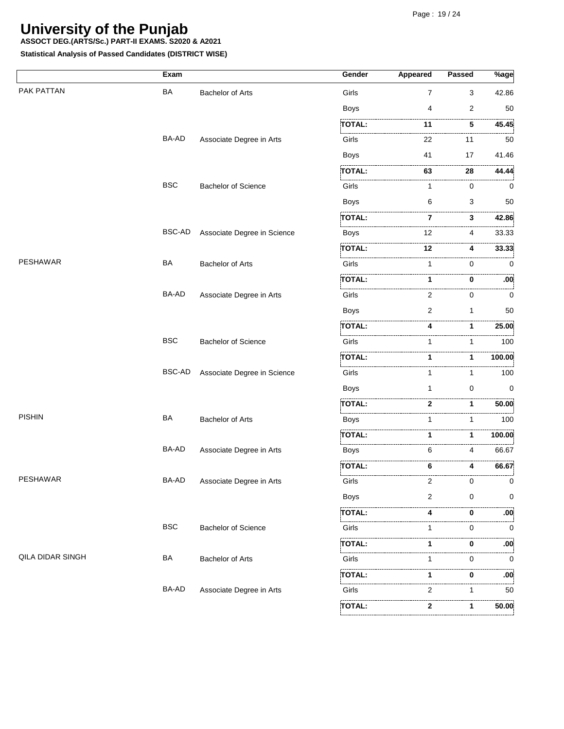**ASSOCT DEG.(ARTS/Sc.) PART-II EXAMS. S2020 & A2021**

|                  | Exam       |                             | Gender        | Appeared       | Passed         | %age            |
|------------------|------------|-----------------------------|---------------|----------------|----------------|-----------------|
| PAK PATTAN       | BA         | <b>Bachelor of Arts</b>     | Girls         | $\overline{7}$ | 3              | 42.86           |
|                  |            |                             | <b>Boys</b>   | 4              | $\overline{2}$ | 50              |
|                  |            |                             | <b>TOTAL:</b> | 11             | 5              | 45.45           |
|                  | BA-AD      | Associate Degree in Arts    | Girls         | 22             | 11             | 50              |
|                  |            |                             | <b>Boys</b>   | 41             | 17             | 41.46           |
|                  |            |                             | TOTAL:        | 63             | <br>.<br>28    | 44.44           |
|                  | <b>BSC</b> | <b>Bachelor of Science</b>  | Girls         | 1              | 0              | 0               |
|                  |            |                             | <b>Boys</b>   | 6              | 3              | 50              |
|                  |            |                             | <b>TOTAL:</b> | 7              | 3              | 42.86           |
|                  | BSC-AD     | Associate Degree in Science | <b>Boys</b>   | 12             | 4              | 33.33           |
|                  |            |                             | TOTAL:        | 12             | 4              | 33.33           |
| <b>PESHAWAR</b>  | BA         | Bachelor of Arts            | Girls         | 1              | 0              | 0               |
|                  |            |                             | TOTAL:        | 1              | 0              | :00             |
|                  | BA-AD      | Associate Degree in Arts    | Girls         | 2              | 0              | . 3<br>0        |
|                  |            |                             | <b>Boys</b>   | 2              | $\mathbf{1}$   | 50              |
|                  |            |                             | TOTAL:        | 4              | 1              | 25.00           |
|                  | <b>BSC</b> | <b>Bachelor of Science</b>  | Girls         | 1              | 1              | .<br>100        |
|                  |            |                             | TOTAL:        | 1              | 1              | 100.00          |
|                  | BSC-AD     | Associate Degree in Science | Girls         | 1              | 1              | 100             |
|                  |            |                             | <b>Boys</b>   | 1              | 0              | 0               |
|                  |            |                             | TOTAL:        | $\mathbf 2$    | 1              | 50.00           |
| <b>PISHIN</b>    | BA         | <b>Bachelor of Arts</b>     | <b>Boys</b>   | 1              | 1              | 100             |
|                  |            |                             | TOTAL:        | 1              | 1              | 100.00          |
|                  | BA-AD      | Associate Degree in Arts    | Boys          | 6              | 4              | 66.67           |
|                  |            |                             | TOTAL:        | 6              | 4              | 66.67           |
| PESHAWAR         | BA-AD      | Associate Degree in Arts    | Girls         | 2              | 0              | 0               |
|                  |            |                             | <b>Boys</b>   | 2              | $\Omega$       | 0               |
|                  |            |                             | TOTAL:        | 4              | 0              | :00             |
|                  | <b>BSC</b> | <b>Bachelor of Science</b>  | Girls         | 1              | $\Omega$       | . 3<br>$\Omega$ |
|                  |            |                             | TOTAL:        | 1              | 0              | $.00^{\circ}$   |
| QILA DIDAR SINGH | BA         | <b>Bachelor of Arts</b>     | Girls         | 1              | 0              | 0               |
|                  |            |                             | TOTAL:        | 1              | 0              | :00             |
|                  | BA-AD      | Associate Degree in Arts    | Girls         | 2              | 1              | .<br>50         |
|                  |            |                             | TOTAL:        | 2              | 1              | 50.00           |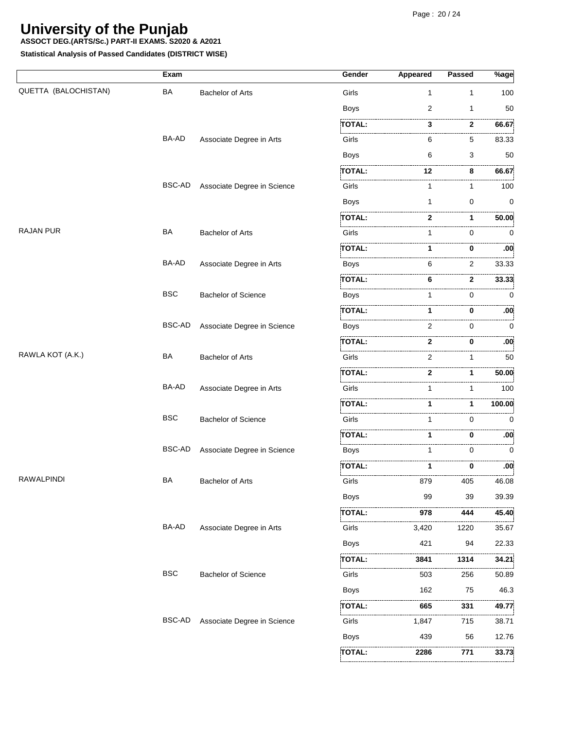**ASSOCT DEG.(ARTS/Sc.) PART-II EXAMS. S2020 & A2021**

**Statistical Analysis of Passed Candidates (DISTRICT WISE)**

|                      | Exam          |                             | Gender                                                                      | Appeared | <b>Passed</b> | $\sqrt[9]{6}$ age |
|----------------------|---------------|-----------------------------|-----------------------------------------------------------------------------|----------|---------------|-------------------|
| QUETTA (BALOCHISTAN) | <b>BA</b>     | <b>Bachelor of Arts</b>     | Girls                                                                       | 1        | 1             | 100               |
|                      |               |                             | <b>Boys</b>                                                                 | 2        | $\mathbf{1}$  | 50                |
|                      |               |                             | TOTAL:                                                                      | 3        | 2             | 66.67             |
|                      | BA-AD         | Associate Degree in Arts    | Girls                                                                       | 6        | 5             | 83.33             |
|                      |               |                             | Boys                                                                        | 6        | 3             | 50                |
|                      |               |                             | TOTAL:                                                                      | 12       | 8             | 66.67             |
|                      | <b>BSC-AD</b> | Associate Degree in Science | Girls                                                                       | 1        | 1             | 100               |
|                      |               |                             | <b>Boys</b>                                                                 | 1        | 0             | 0                 |
|                      |               |                             | <b>TOTAL:</b>                                                               | 2        | 1             | 50.00             |
| <b>RAJAN PUR</b>     | BA            | <b>Bachelor of Arts</b>     | Girls                                                                       | 1        | 0             | 0                 |
|                      |               |                             | TOTAL:                                                                      | 1        | 0             | :00               |
|                      | <b>BA-AD</b>  | Associate Degree in Arts    | <b>Boys</b>                                                                 | 6        | 2             | 33.33             |
|                      |               |                             | <b>TOTAL:</b>                                                               | 6        | .<br>2        | 33.33             |
|                      | <b>BSC</b>    | <b>Bachelor of Science</b>  | Boys                                                                        | 1        | .<br>0        | 0                 |
|                      |               |                             | <b>TOTAL:</b>                                                               | 1        | 0             | :00               |
|                      | <b>BSC-AD</b> | Associate Degree in Science | Boys                                                                        | 2        | 0             | 0                 |
|                      |               |                             | TOTAL:                                                                      | 2        | 0             | :00               |
| RAWLA KOT (A.K.)     | <b>BA</b>     | <b>Bachelor of Arts</b>     | .<br>Littlettertellert i sterre er er er er er er er er er er er e<br>Girls | 2        | 1             | 50                |
|                      |               |                             | TOTAL:                                                                      | 2        | 1             | 50.00             |
|                      | <b>BA-AD</b>  | Associate Degree in Arts    | Girls                                                                       |          | 1             | 100               |
|                      |               |                             | TOTAL:                                                                      | 1        | 1             | 100.00            |
|                      | <b>BSC</b>    | <b>Bachelor of Science</b>  | Girls                                                                       | 1        | .<br>0        | $\mathbf 0$       |
|                      |               |                             | TOTAL:                                                                      | 1        | 0             | :00               |
|                      | BSC-AD        | Associate Degree in Science | Boys                                                                        | 1        | 0             | 0                 |
|                      |               |                             | TOTAL:                                                                      | 1        | 0             | .<br>:00          |
| RAWALPINDI           | BA            | <b>Bachelor of Arts</b>     | Girls                                                                       | 879      | 405           | 46.08             |
|                      |               |                             | <b>Boys</b>                                                                 | 99       | 39            | 39.39             |
|                      |               |                             | , , , , , , , , , , , , , , ,<br><b>TOTAL:</b>                              | .<br>978 | 444           | 45.40             |
|                      | BA-AD         | Associate Degree in Arts    | .<br>Girls                                                                  | 3,420    | 1220          | .<br>35.67        |
|                      |               |                             | <b>Boys</b>                                                                 | 421      | 94            | 22.33             |
|                      |               |                             | TOTAL:                                                                      | 3841     | 1314          | 34.21             |
|                      | <b>BSC</b>    | <b>Bachelor of Science</b>  | Girls                                                                       | .<br>503 | .<br>256      | 50.89             |
|                      |               |                             | Boys                                                                        | 162      | 75            | 46.3              |
|                      |               |                             | <b>TOTAL:</b>                                                               | 665      | .<br>331      | 49.77             |
|                      | <b>BSC-AD</b> | Associate Degree in Science | Girls                                                                       | 1,847    | 715           | 38.71             |
|                      |               |                             | Boys                                                                        | 439      | 56            | 12.76             |
|                      |               |                             | <b>TOTAL:</b>                                                               | 2286     | 771           | 33.73             |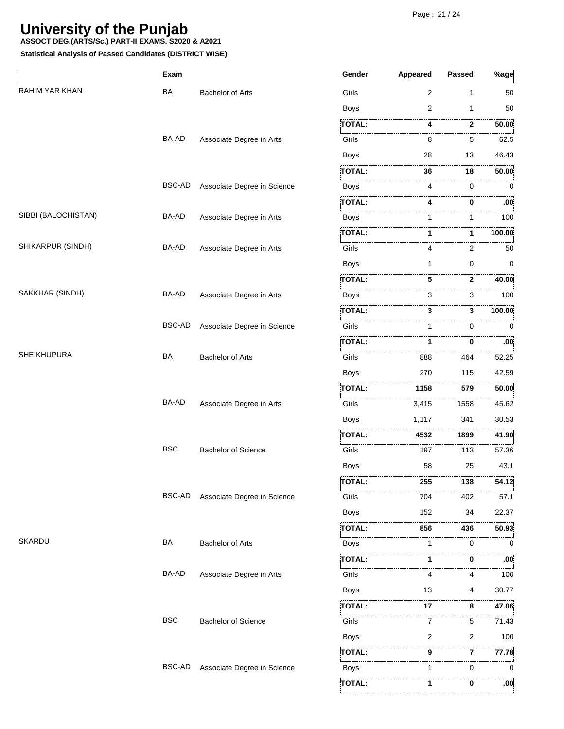**ASSOCT DEG.(ARTS/Sc.) PART-II EXAMS. S2020 & A2021**

|                     | Exam          |                             | Gender                                                      | Appeared | <b>Passed</b>     | $%$ age   |
|---------------------|---------------|-----------------------------|-------------------------------------------------------------|----------|-------------------|-----------|
| RAHIM YAR KHAN      | <b>BA</b>     | <b>Bachelor of Arts</b>     | Girls                                                       | 2        | $\mathbf{1}$      | 50        |
|                     |               |                             | <b>Boys</b>                                                 | 2        | 1                 | 50        |
|                     |               |                             | <b>TOTAL:</b>                                               | 4        | .<br>$\mathbf{2}$ | 50.00     |
|                     | BA-AD         | Associate Degree in Arts    | おんしょう アイ・シー・シー アイ・シー<br>Girls                               | 8        | 5                 | .<br>62.5 |
|                     |               |                             | <b>Boys</b>                                                 | 28       | 13                | 46.43     |
|                     |               |                             | TOTAL:                                                      | 36       | 18                | 50.00     |
|                     | <b>BSC-AD</b> | Associate Degree in Science | Boys                                                        | 4        | 0                 | 0         |
|                     |               |                             | <b>TOTAL:</b>                                               |          | 0                 | :00       |
| SIBBI (BALOCHISTAN) | BA-AD         | Associate Degree in Arts    | .<br>Linnannannannannannan<br>Boys                          | 1        | 1                 | 100       |
|                     |               |                             | <b>TOTAL:</b>                                               | 1        | 1                 | 100.00    |
| SHIKARPUR (SINDH)   | BA-AD         | Associate Degree in Arts    | Girls                                                       | 4        | 2                 | 50        |
|                     |               |                             | <b>Boys</b>                                                 | 1        | 0                 | 0         |
|                     |               |                             | <b>TOTAL:</b>                                               | 5        | $\mathbf{2}$      | 40.00     |
| SAKKHAR (SINDH)     | BA-AD         | Associate Degree in Arts    | Boys                                                        | 3        | 3                 | 100       |
|                     |               |                             | <b>TOTAL:</b>                                               | 3        | 3                 | 100.00    |
|                     | <b>BSC-AD</b> | Associate Degree in Science | Girls                                                       |          | 0                 | 0         |
|                     |               |                             | TOTAL:                                                      | 1        | 0                 | :00       |
| <b>SHEIKHUPURA</b>  | BA            | <b>Bachelor of Arts</b>     | Girls                                                       | 888      | 464               | 52.25     |
|                     |               |                             | <b>Boys</b>                                                 | 270      | 115               | 42.59     |
|                     |               |                             | <b>TOTAL:</b>                                               | 1158     | 579               | 50.00     |
|                     | BA-AD         | Associate Degree in Arts    | .<br>Girls                                                  | 3,415    | 1558              | 45.62     |
|                     |               |                             | <b>Boys</b>                                                 | 1,117    | 341               | 30.53     |
|                     |               |                             | TOTAL:                                                      | 4532     | 1899              | 41.90     |
|                     | <b>BSC</b>    | <b>Bachelor of Science</b>  | .<br>Liikuvalla liikuvalla liikuvalla liselt 1999.<br>Girls | 197      | 113               | 57.36     |
|                     |               |                             | <b>Boys</b>                                                 | 58       | 25                | 43.1      |
|                     |               |                             | <b>TOTAL:</b>                                               | 255      | 138               | 54.12     |
|                     | <b>BSC-AD</b> | Associate Degree in Science | Girls                                                       | 704      | 402               | 57.1      |
|                     |               |                             | <b>Boys</b>                                                 | 152      | 34                | 22.37     |
|                     |               |                             | TOTAL:                                                      | 856      | 436               | 50.93     |
| <b>SKARDU</b>       | BA            | <b>Bachelor of Arts</b>     | .<br><b>Boys</b>                                            | 1        | 0                 | 0         |
|                     |               |                             | <b>TOTAL:</b>                                               |          | 0                 | .<br>:00  |
|                     | BA-AD         | Associate Degree in Arts    | Girls                                                       | Δ        | 4                 | 100       |
|                     |               |                             | <b>Boys</b>                                                 | 13       | 4                 | 30.77     |
|                     |               |                             | TOTAL:                                                      | 17       | 8                 | 47.06     |
|                     | <b>BSC</b>    | <b>Bachelor of Science</b>  | Girls                                                       | 7        | 5                 | 71.43     |
|                     |               |                             | <b>Boys</b>                                                 | 2        | 2                 | 100       |
|                     |               |                             | TOTAL:                                                      | 9        | 7                 | 77.78     |
|                     | <b>BSC-AD</b> | Associate Degree in Science | .<br>Boys                                                   | 1        | 0                 | 0         |
|                     |               |                             | TOTAL:                                                      |          | 0                 | :00       |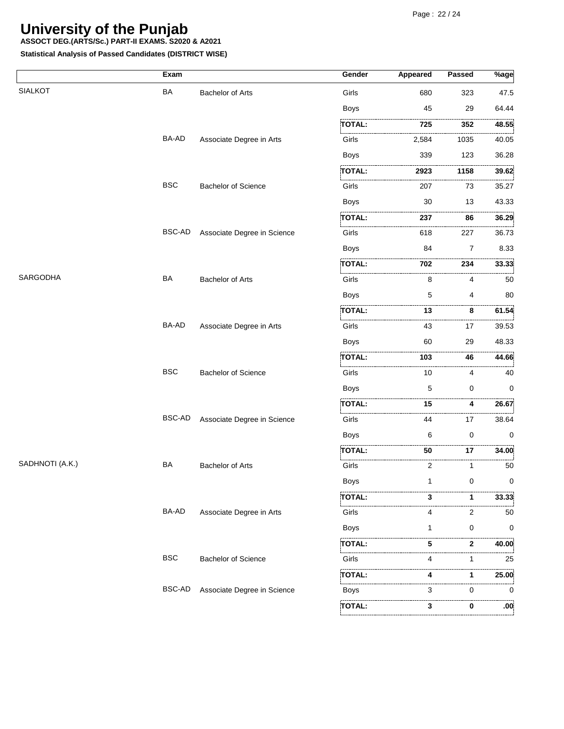**ASSOCT DEG.(ARTS/Sc.) PART-II EXAMS. S2020 & A2021**

|                 | Exam          |                             | Gender           | <b>Appeared</b> | Passed         | $%$ age |
|-----------------|---------------|-----------------------------|------------------|-----------------|----------------|---------|
| <b>SIALKOT</b>  | <b>BA</b>     | <b>Bachelor of Arts</b>     | Girls            | 680             | 323            | 47.5    |
|                 |               |                             | <b>Boys</b>      | 45              | 29             | 64.44   |
|                 |               |                             | <b>TOTAL:</b>    | 725             | 352            | 48.55   |
|                 | BA-AD         | Associate Degree in Arts    | .<br>1.<br>Girls | 2,584           | 1035           | 40.05   |
|                 |               |                             | Boys             | 339             | 123            | 36.28   |
|                 |               |                             | TOTAL:           | 2923            | 1158           | 39.62   |
|                 | <b>BSC</b>    | <b>Bachelor of Science</b>  | Girls            | 207             | 73             | 35.27   |
|                 |               |                             | Boys             | 30              | 13             | 43.33   |
|                 |               |                             | TOTAL:           | 237             | 86             | 36.29   |
|                 | <b>BSC-AD</b> | Associate Degree in Science | .<br>Girls       | 618             | 227            | 36.73   |
|                 |               |                             | <b>Boys</b>      | 84              | $\overline{7}$ | 8.33    |
|                 |               |                             | TOTAL:           | 702             | 234            | 33.33   |
| SARGODHA        | <b>BA</b>     | <b>Bachelor of Arts</b>     | Girls            | 8               | 4              | 50      |
|                 |               |                             | <b>Boys</b>      | 5               | 4              | 80      |
|                 |               |                             | <b>TOTAL:</b>    | 13              | 8              | 61.54   |
|                 | <b>BA-AD</b>  | Associate Degree in Arts    | Girls            | 43              | .<br>17        | 39.53   |
|                 |               |                             | <b>Boys</b>      | 60              | 29             | 48.33   |
|                 |               |                             | TOTAL:           | 103             | 46             | 44.66   |
|                 | <b>BSC</b>    | <b>Bachelor of Science</b>  | Girls            | 10              | 4              | 40      |
|                 |               |                             | <b>Boys</b>      | 5               | 0              | 0       |
|                 |               |                             | TOTAL:           | 15              | 4              | 26.67   |
|                 | BSC-AD        | Associate Degree in Science | Girls            | 44              | .<br>17        | 38.64   |
|                 |               |                             | <b>Boys</b>      | 6               | $\mathbf 0$    | 0       |
|                 |               |                             | <b>TOTAL:</b>    | 50              | 17             | 34.00   |
| SADHNOTI (A.K.) | BA            | <b>Bachelor of Arts</b>     | .<br>Girls       | 2               | 1              | 50      |
|                 |               |                             | Boys             |                 | 0              | 0       |
|                 |               |                             | TOTAL:           | з               |                | 33.33   |
|                 | BA-AD         | Associate Degree in Arts    | Girls            | 4               | 2              | 50      |
|                 |               |                             | Boys             | 1               | 0              | 0       |
|                 |               |                             | TOTAL:           | 5               | 2              | 40.00   |
|                 | <b>BSC</b>    | <b>Bachelor of Science</b>  | Girls            |                 | 1              | 25      |
|                 |               |                             | TOTAL:           |                 | 1              | 25.00   |
|                 | BSC-AD        | Associate Degree in Science | Boys             | 3               | .<br>0         | 0       |
|                 |               |                             | TOTAL:           | 3               | 0              | :00     |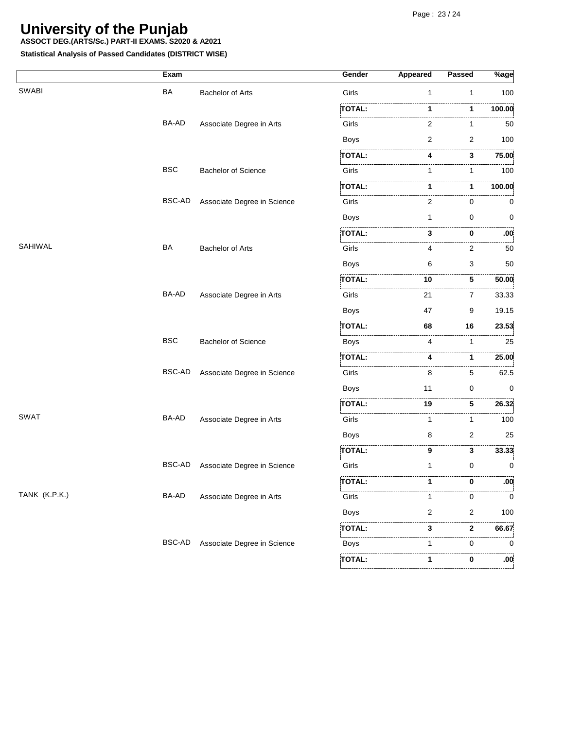**ASSOCT DEG.(ARTS/Sc.) PART-II EXAMS. S2020 & A2021**

|               | Exam       |                             | Gender        | Appeared | Passed         | $\sqrt[3]{\text{age}}$ |
|---------------|------------|-----------------------------|---------------|----------|----------------|------------------------|
| <b>SWABI</b>  | <b>BA</b>  | <b>Bachelor of Arts</b>     | Girls         | 1        | 1              | 100                    |
|               |            |                             | TOTAL:        | 1        | 1              | 100.00                 |
|               | BA-AD      | Associate Degree in Arts    | Girls         | 2        | 1              | 50                     |
|               |            |                             | Boys          | 2        | $\overline{2}$ | 100                    |
|               |            |                             | TOTAL:        | 4        | 3              | 75.00                  |
|               | <b>BSC</b> | <b>Bachelor of Science</b>  | Girls         | 1        | 1              | 100                    |
|               |            |                             | TOTAL:        | 1        | 1              | 100.00                 |
|               | BSC-AD     | Associate Degree in Science | Girls         | 2        | 0              | 0                      |
|               |            |                             | <b>Boys</b>   | 1        | 0              | 0                      |
|               |            |                             | <b>TOTAL:</b> | 3        | 0              | .00.                   |
| SAHIWAL       | BA         | <b>Bachelor of Arts</b>     | Girls         | 4        | 2              | 50                     |
|               |            |                             | <b>Boys</b>   | 6        | 3              | 50                     |
|               |            |                             | <b>TOTAL:</b> | 10       | 5              | 50.00                  |
|               | BA-AD      | Associate Degree in Arts    | Girls         | 21       | $\overline{7}$ | 33.33                  |
|               |            |                             | <b>Boys</b>   | 47       | 9              | 19.15                  |
|               |            |                             | <b>TOTAL:</b> | .<br>68  | .<br>16        | 23.53                  |
|               | <b>BSC</b> | <b>Bachelor of Science</b>  | Boys          | 4        |                | 25                     |
|               |            |                             | TOTAL:        | 4        | 1              | .<br>25.00             |
|               | BSC-AD     | Associate Degree in Science | Girls         | 8        | 5              | .<br>62.5              |
|               |            |                             | <b>Boys</b>   | 11       | 0              | 0                      |
|               |            |                             | <b>TOTAL:</b> | 19       | 5              | 26.32                  |
| <b>SWAT</b>   | BA-AD      | Associate Degree in Arts    | Girls         | 1        | 1              | 100                    |
|               |            |                             | <b>Boys</b>   | 8        | 2              | 25                     |
|               |            |                             | TOTAL:        | 9        | 3              | 33.33                  |
|               | BSC-AD     | Associate Degree in Science | Girls         | 1        | 0              | . 5<br>0               |
|               |            |                             | <b>TOTAL:</b> | 1        | 0              | .00 <sub>i</sub>       |
| TANK (K.P.K.) | BA-AD      | Associate Degree in Arts    | Girls         | 1        | 0              | 0                      |
|               |            |                             | Boys          | 2        | 2              | 100                    |
|               |            |                             | TOTAL:        | 3        | $\mathbf{2}$   | 66.67                  |
|               | BSC-AD     | Associate Degree in Science | Boys          | 1        | 0              | . 5<br>0               |
|               |            |                             | TOTAL:        | 1        | 0              | .00 <sub>i</sub>       |